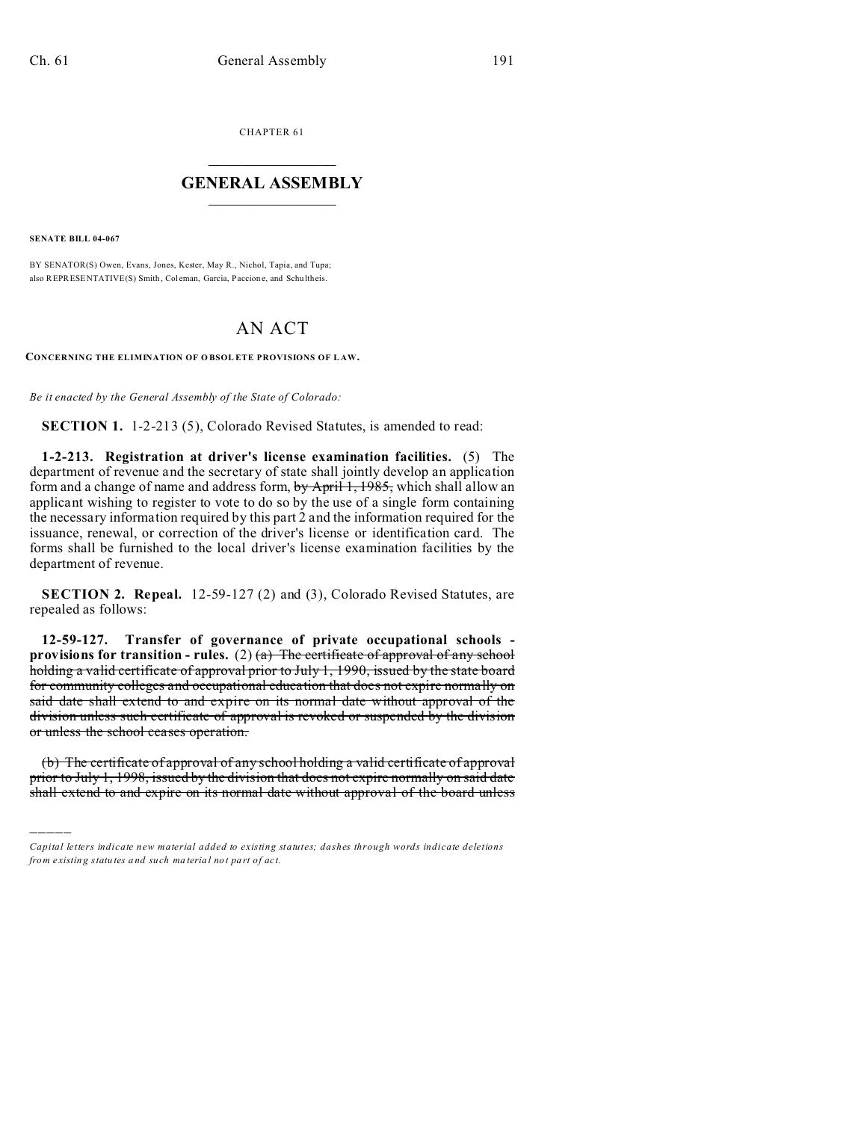CHAPTER 61  $\overline{\phantom{a}}$  , where  $\overline{\phantom{a}}$ 

## **GENERAL ASSEMBLY**  $\frac{1}{\sqrt{2}}$  . The set of the set of the set of the set of the set of the set of the set of the set of the set of the set of the set of the set of the set of the set of the set of the set of the set of the set of the set

**SENATE BILL 04-067**

)))))

BY SENATOR(S) Owen, Evans, Jones, Kester, May R., Nichol, Tapia, and Tupa; also REPRESENTATIVE(S) Smith, Coleman, Garcia, Paccione, and Schultheis.

# AN ACT

**CONCERNING THE ELIMINATION OF O BSOL ETE PROVISIONS OF L AW.**

*Be it enacted by the General Assembly of the State of Colorado:*

**SECTION 1.** 1-2-213 (5), Colorado Revised Statutes, is amended to read:

**1-2-213. Registration at driver's license examination facilities.** (5) The department of revenue and the secretary of state shall jointly develop an application form and a change of name and address form, by April 1, 1985, which shall allow an applicant wishing to register to vote to do so by the use of a single form containing the necessary information required by this part 2 and the information required for the issuance, renewal, or correction of the driver's license or identification card. The forms shall be furnished to the local driver's license examination facilities by the department of revenue.

**SECTION 2. Repeal.** 12-59-127 (2) and (3), Colorado Revised Statutes, are repealed as follows:

**12-59-127. Transfer of governance of private occupational schools provisions for transition - rules.** (2)  $\left(\frac{a}{b}\right)$  The certificate of approval of any school holding a valid certificate of approval prior to July 1, 1990, issued by the state board for community colleges and occupational education that does not expire normally on said date shall extend to and expire on its normal date without approval of the division unless such certificate of approval is revoked or suspended by the division or unless the school ceases operation.

(b) The certificate of approval of any school holding a valid certificate of approval prior to July 1, 1998, issued by the division that does not expire normally on said date shall extend to and expire on its normal date without approval of the board unless

*Capital letters indicate new material added to existing statutes; dashes through words indicate deletions from e xistin g statu tes a nd such ma teria l no t pa rt of ac t.*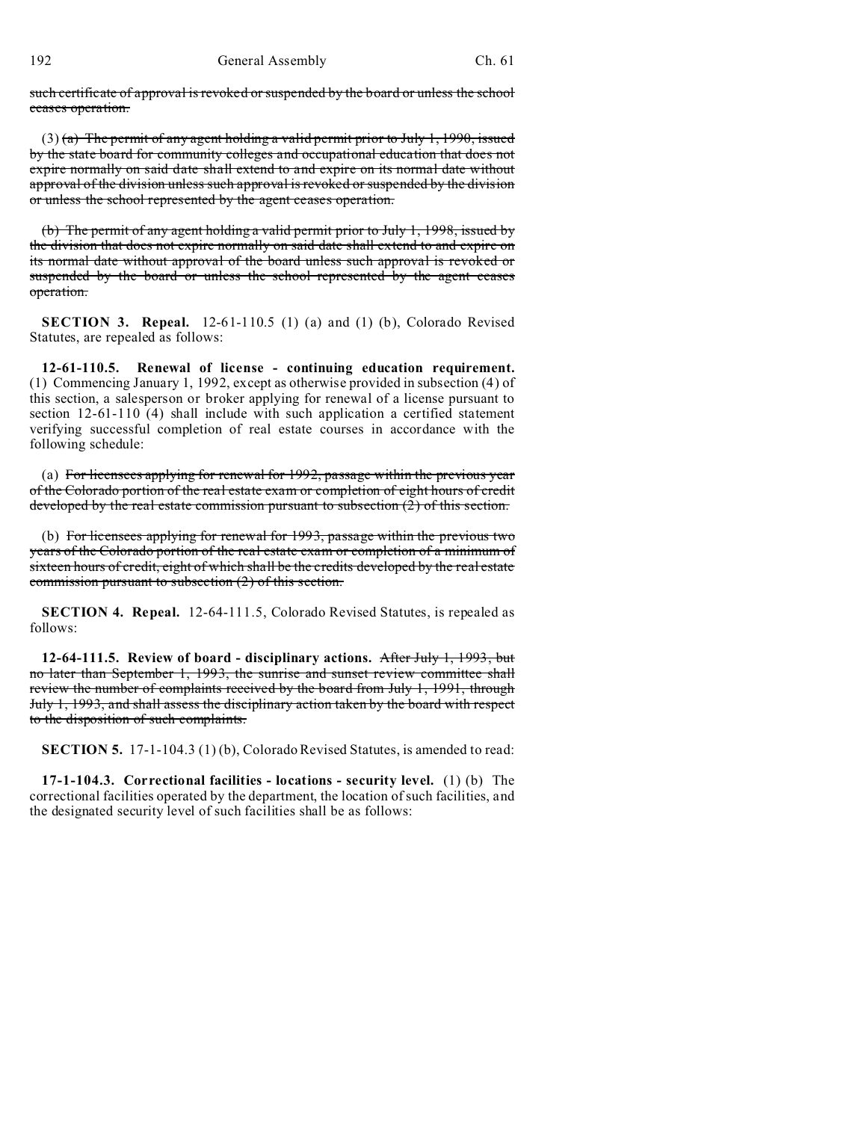such certificate of approval is revoked or suspended by the board or unless the school ceases operation.

 $(3)$  (a) The permit of any agent holding a valid permit prior to July 1, 1990, issued by the state board for community colleges and occupational education that does not expire normally on said date shall extend to and expire on its normal date without approval of the division unless such approval is revoked or suspended by the division or unless the school represented by the agent ceases operation.

(b) The permit of any agent holding a valid permit prior to July 1, 1998, issued by the division that does not expire normally on said date shall extend to and expire on its normal date without approval of the board unless such approval is revoked or suspended by the board or unless the school represented by the agent ceases operation.

**SECTION 3. Repeal.** 12-61-110.5 (1) (a) and (1) (b), Colorado Revised Statutes, are repealed as follows:

**12-61-110.5. Renewal of license - continuing education requirement.** (1) Commencing January 1, 1992, except as otherwise provided in subsection (4) of this section, a salesperson or broker applying for renewal of a license pursuant to section 12-61-110 (4) shall include with such application a certified statement verifying successful completion of real estate courses in accordance with the following schedule:

(a) For licensees applying for renewal for 1992, passage within the previous year of the Colorado portion of the real estate exam or completion of eight hours of credit developed by the real estate commission pursuant to subsection (2) of this section.

(b) For licensees applying for renewal for 1993, passage within the previous two years of the Colorado portion of the real estate exam or completion of a minimum of sixteen hours of credit, eight of which shall be the credits developed by the real estate commission pursuant to subsection (2) of this section.

**SECTION 4. Repeal.** 12-64-111.5, Colorado Revised Statutes, is repealed as follows:

**12-64-111.5. Review of board - disciplinary actions.** After July 1, 1993, but no later than September 1, 1993, the sunrise and sunset review committee shall review the number of complaints received by the board from July 1, 1991, through July 1, 1993, and shall assess the disciplinary action taken by the board with respect to the disposition of such complaints.

**SECTION 5.** 17-1-104.3 (1) (b), Colorado Revised Statutes, is amended to read:

**17-1-104.3. Correctional facilities - locations - security level.** (1) (b) The correctional facilities operated by the department, the location of such facilities, and the designated security level of such facilities shall be as follows: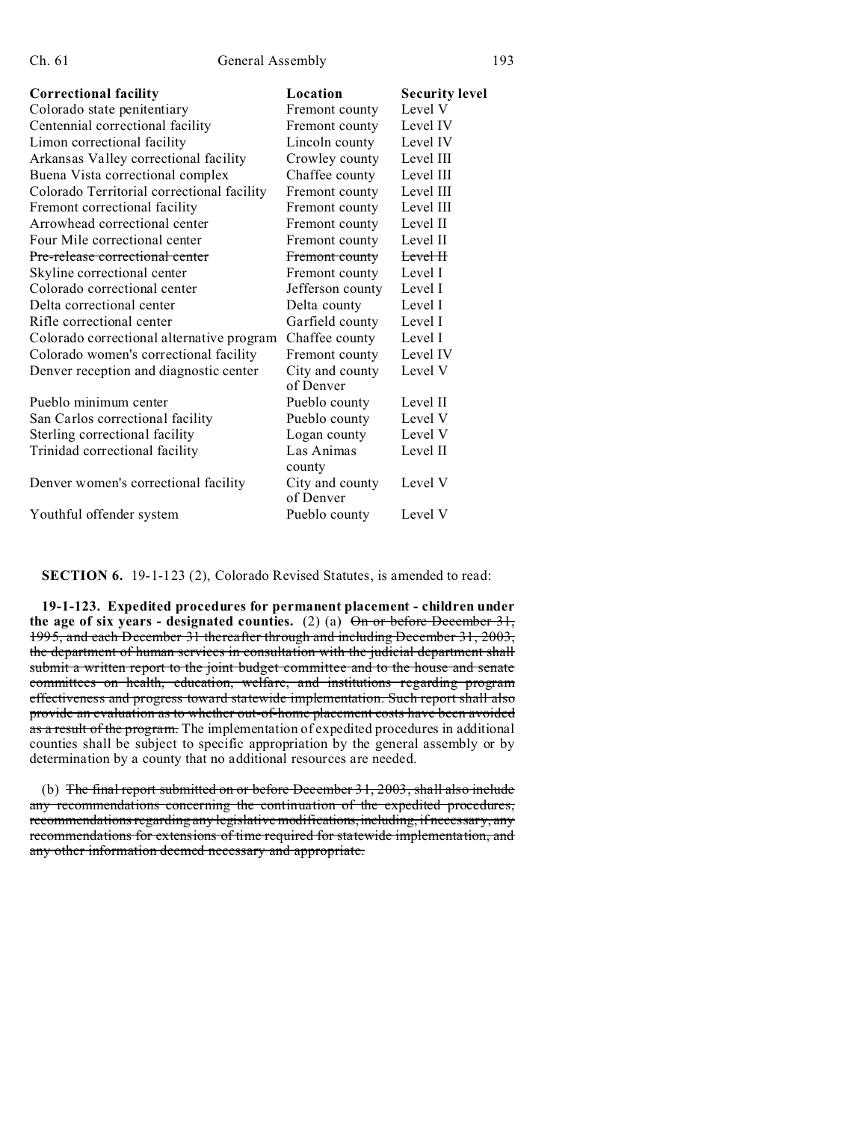| <b>Correctional facility</b>               | Location                     | <b>Security level</b> |
|--------------------------------------------|------------------------------|-----------------------|
| Colorado state penitentiary                | Fremont county               | Level V               |
| Centennial correctional facility           | Fremont county               | Level IV              |
| Limon correctional facility                | Lincoln county               | Level IV              |
| Arkansas Valley correctional facility      | Crowley county               | Level III             |
| Buena Vista correctional complex           | Chaffee county               | Level III             |
| Colorado Territorial correctional facility | Fremont county               | Level III             |
| Fremont correctional facility              | Fremont county               | Level III             |
| Arrowhead correctional center              | Fremont county               | Level II              |
| Four Mile correctional center              | Fremont county               | Level II              |
| Pre-release correctional center            | Fremont county               | Level H               |
| Skyline correctional center                | Fremont county               | Level I               |
| Colorado correctional center               | Jefferson county             | Level I               |
| Delta correctional center                  | Delta county                 | Level I               |
| Rifle correctional center                  | Garfield county              | Level I               |
| Colorado correctional alternative program  | Chaffee county               | Level I               |
| Colorado women's correctional facility     | Fremont county               | Level IV              |
| Denver reception and diagnostic center     | City and county              | Level V               |
|                                            | of Denver                    |                       |
| Pueblo minimum center                      | Pueblo county                | Level II              |
| San Carlos correctional facility           | Pueblo county                | Level V               |
| Sterling correctional facility             | Logan county                 | Level V               |
| Trinidad correctional facility             | Las Animas                   | Level II              |
|                                            | county                       |                       |
| Denver women's correctional facility       | City and county<br>of Denver | Level V               |
| Youthful offender system                   | Pueblo county                | Level V               |

**SECTION 6.** 19-1-123 (2), Colorado Revised Statutes, is amended to read:

**19-1-123. Expedited procedures for permanent placement - children under** the age of six years - designated counties.  $(2)$   $(a)$   $\overline{On}$  or before December 31, 1995, and each December 31 thereafter through and including December 31, 2003, the department of human services in consultation with the judicial department shall submit a written report to the joint budget committee and to the house and senate committees on health, education, welfare, and institutions regarding program effectiveness and progress toward statewide implementation. Such report shall also provide an evaluation as to whether out-of-home placement costs have been avoided as a result of the program. The implementation of expedited procedures in additional counties shall be subject to specific appropriation by the general assembly or by determination by a county that no additional resources are needed.

(b) The final report submitted on or before December 31, 2003, shall also include any recommendations concerning the continuation of the expedited procedures, recommendations regarding any legislative modifications, including, if necessary, any recommendations for extensions of time required for statewide implementation, and any other information deemed necessary and appropriate.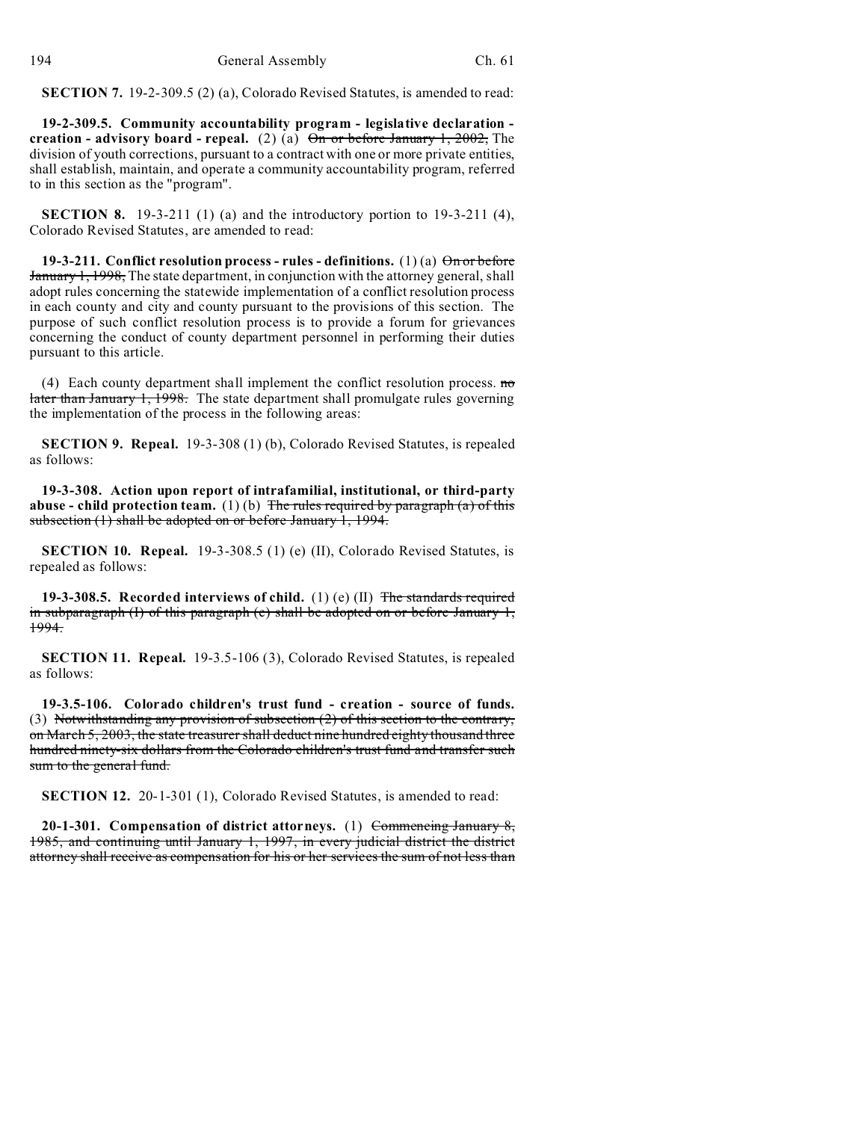**SECTION 7.** 19-2-309.5 (2) (a), Colorado Revised Statutes, is amended to read:

**19-2-309.5. Community accountability program - legislative declaration creation - advisory board - repeal.** (2) (a)  $\Theta$  or before January 1, 2002, The division of youth corrections, pursuant to a contract with one or more private entities, shall establish, maintain, and operate a community accountability program, referred to in this section as the "program".

**SECTION 8.** 19-3-211 (1) (a) and the introductory portion to 19-3-211 (4), Colorado Revised Statutes, are amended to read:

**19-3-211. Conflict resolution process - rules - definitions.** (1) (a)  $\Theta$  for before January 1, 1998, The state department, in conjunction with the attorney general, shall adopt rules concerning the statewide implementation of a conflict resolution process in each county and city and county pursuant to the provisions of this section. The purpose of such conflict resolution process is to provide a forum for grievances concerning the conduct of county department personnel in performing their duties pursuant to this article.

(4) Each county department shall implement the conflict resolution process.  $m\sigma$ later than January 1, 1998. The state department shall promulgate rules governing the implementation of the process in the following areas:

**SECTION 9. Repeal.** 19-3-308 (1) (b), Colorado Revised Statutes, is repealed as follows:

**19-3-308. Action upon report of intrafamilial, institutional, or third-party abuse - child protection team.** (1) (b) The rules required by paragraph (a) of this subsection (1) shall be adopted on or before January 1, 1994.

**SECTION 10. Repeal.** 19-3-308.5 (1) (e) (II), Colorado Revised Statutes, is repealed as follows:

**19-3-308.5. Recorded interviews of child.** (1) (e) (II) The standards required in subparagraph  $(1)$  of this paragraph  $(e)$  shall be adopted on or before January 1, 1994.

**SECTION 11. Repeal.** 19-3.5-106 (3), Colorado Revised Statutes, is repealed as follows:

**19-3.5-106. Colorado children's trust fund - creation - source of funds.** (3) Notwithstanding any provision of subsection (2) of this section to the contrary, on March 5, 2003, the state treasurer shall deduct nine hundred eighty thousand three hundred ninety-six dollars from the Colorado children's trust fund and transfer such sum to the general fund.

**SECTION 12.** 20-1-301 (1), Colorado Revised Statutes, is amended to read:

**20-1-301. Compensation of district attorneys.** (1) Commencing January 8, 1985, and continuing until January 1, 1997, in every judicial district the district attorney shall receive as compensation for his or her services the sum of not less than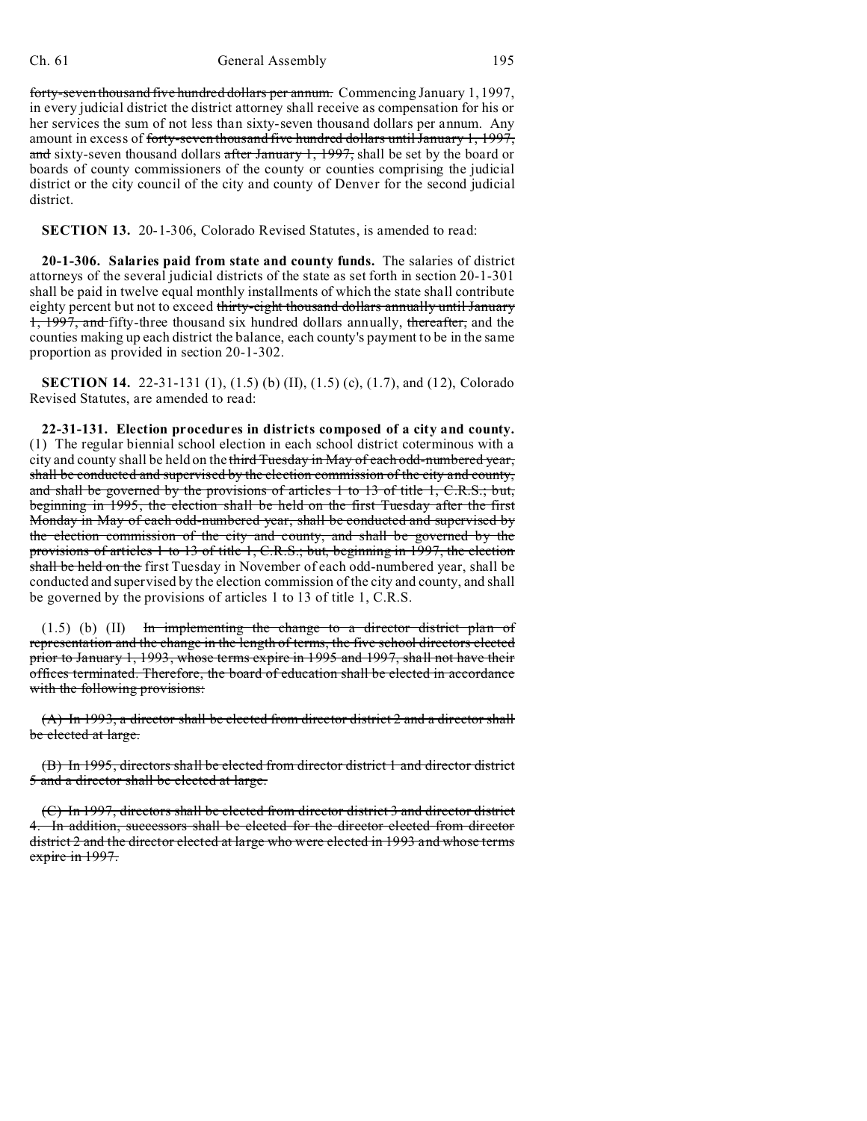### Ch. 61 General Assembly 195

forty-seven thousand five hundred dollars per annum. Commencing January 1, 1997, in every judicial district the district attorney shall receive as compensation for his or her services the sum of not less than sixty-seven thousand dollars per annum. Any amount in excess of forty-seven thousand five hundred dollars until January 1, 1997, and sixty-seven thousand dollars after January 1, 1997, shall be set by the board or boards of county commissioners of the county or counties comprising the judicial district or the city council of the city and county of Denver for the second judicial district.

**SECTION 13.** 20-1-306, Colorado Revised Statutes, is amended to read:

**20-1-306. Salaries paid from state and county funds.** The salaries of district attorneys of the several judicial districts of the state as set forth in section 20-1-301 shall be paid in twelve equal monthly installments of which the state shall contribute eighty percent but not to exceed thirty-eight thousand dollars annually until January 1, 1997, and fifty-three thousand six hundred dollars annually, thereafter, and the counties making up each district the balance, each county's payment to be in the same proportion as provided in section 20-1-302.

**SECTION 14.** 22-31-131 (1), (1.5) (b) (II), (1.5) (c), (1.7), and (12), Colorado Revised Statutes, are amended to read:

**22-31-131. Election procedures in districts composed of a city and county.** (1) The regular biennial school election in each school district coterminous with a city and county shall be held on the third Tuesday in May of each odd-numbered year, shall be conducted and supervised by the election commission of the city and county, and shall be governed by the provisions of articles 1 to 13 of title 1, C.R.S.; but, beginning in 1995, the election shall be held on the first Tuesday after the first Monday in May of each odd-numbered year, shall be conducted and supervised by the election commission of the city and county, and shall be governed by the provisions of articles 1 to 13 of title 1, C.R.S.; but, beginning in 1997, the election shall be held on the first Tuesday in November of each odd-numbered year, shall be conducted and supervised by the election commission of the city and county, and shall be governed by the provisions of articles 1 to 13 of title 1, C.R.S.

 $(1.5)$  (b)  $(II)$  In implementing the change to a director district plan of representation and the change in the length of terms, the five school directors elected prior to January 1, 1993, whose terms expire in 1995 and 1997, shall not have their offices terminated. Therefore, the board of education shall be elected in accordance with the following provisions:

(A) In 1993, a director shall be elected from director district 2 and a director shall be elected at large.

(B) In 1995, directors shall be elected from director district 1 and director district 5 and a director shall be elected at large.

(C) In 1997, directors shall be elected from director district 3 and director district 4. In addition, successors shall be elected for the director elected from director district 2 and the director elected at large who were elected in 1993 and whose terms expire in 1997.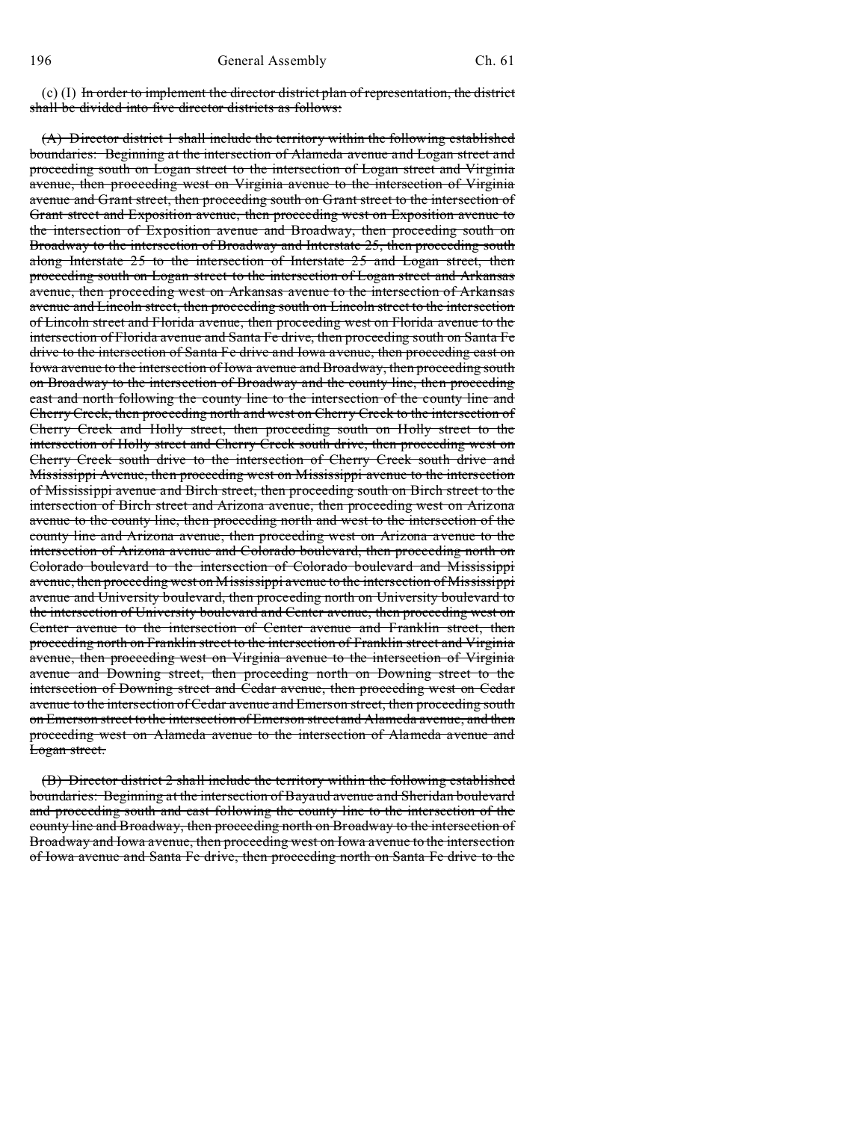$(c)$  (I) In order to implement the director district plan of representation, the district shall be divided into five director districts as follows:

(A) Director district 1 shall include the territory within the following established boundaries: Beginning at the intersection of Alameda avenue and Logan street and proceeding south on Logan street to the intersection of Logan street and Virginia avenue, then proceeding west on Virginia avenue to the intersection of Virginia avenue and Grant street, then proceeding south on Grant street to the intersection of Grant street and Exposition avenue, then proceeding west on Exposition avenue to the intersection of Exposition avenue and Broadway, then proceeding south on Broadway to the intersection of Broadway and Interstate 25, then proceeding south along Interstate 25 to the intersection of Interstate 25 and Logan street, then proceeding south on Logan street to the intersection of Logan street and Arkansas avenue, then proceeding west on Arkansas avenue to the intersection of Arkansas avenue and Lincoln street, then proceeding south on Lincoln street to the intersection of Lincoln street and Florida avenue, then proceeding west on Florida avenue to the intersection of Florida avenue and Santa Fe drive, then proceeding south on Santa Fe drive to the intersection of Santa Fe drive and Iowa avenue, then proceeding east on Iowa avenue to the intersection of Iowa avenue and Broadway, then proceeding south on Broadway to the intersection of Broadway and the county line, then proceeding east and north following the county line to the intersection of the county line and Cherry Creek, then proceeding north and west on Cherry Creek to the intersection of Cherry Creek and Holly street, then proceeding south on Holly street to the intersection of Holly street and Cherry Creek south drive, then proceeding west on Cherry Creek south drive to the intersection of Cherry Creek south drive and Mississippi Avenue, then proceeding west on Mississippi avenue to the intersection of Mississippi avenue and Birch street, then proceeding south on Birch street to the intersection of Birch street and Arizona avenue, then proceeding west on Arizona avenue to the county line, then proceeding north and west to the intersection of the county line and Arizona avenue, then proceeding west on Arizona avenue to the intersection of Arizona avenue and Colorado boulevard, then proceeding north on Colorado boulevard to the intersection of Colorado boulevard and Mississippi avenue, then proceeding west on Mississippi avenue to the intersection of Mississippi avenue and University boulevard, then proceeding north on University boulevard to the intersection of University boulevard and Center avenue, then proceeding west on Center avenue to the intersection of Center avenue and Franklin street, then proceeding north on Franklin street to the intersection of Franklin street and Virginia avenue, then proceeding west on Virginia avenue to the intersection of Virginia avenue and Downing street, then proceeding north on Downing street to the intersection of Downing street and Cedar avenue, then proceeding west on Cedar avenue to the intersection of Cedar avenue and Emerson street, then proceeding south on Emerson street to the intersection of Emerson street and Alameda avenue, and then proceeding west on Alameda avenue to the intersection of Alameda avenue and Logan street.

(B) Director district 2 shall include the territory within the following established boundaries: Beginning at the intersection of Bayaud avenue and Sheridan boulevard and proceeding south and east following the county line to the intersection of the county line and Broadway, then proceeding north on Broadway to the intersection of Broadway and Iowa avenue, then proceeding west on Iowa avenue to the intersection of Iowa avenue and Santa Fe drive, then proceeding north on Santa Fe drive to the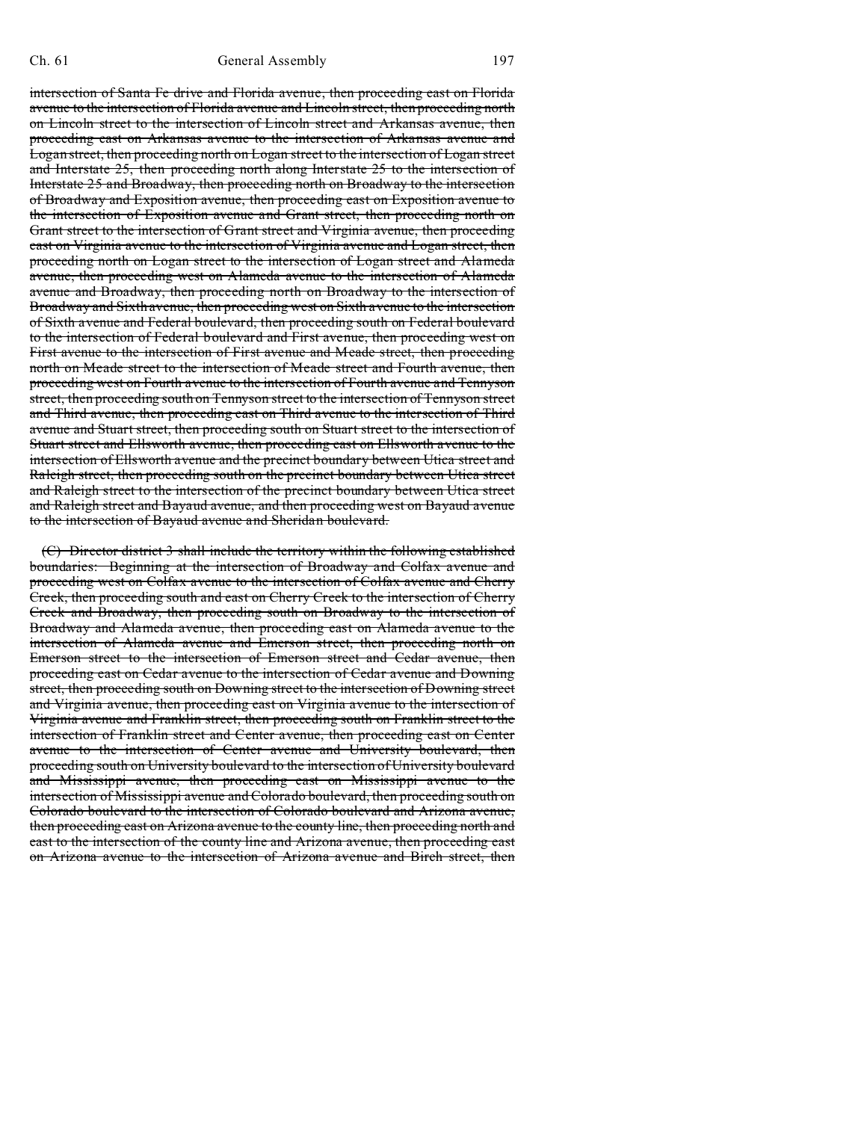intersection of Santa Fe drive and Florida avenue, then proceeding east on Florida avenue to the intersection of Florida avenue and Lincoln street, then proceeding north on Lincoln street to the intersection of Lincoln street and Arkansas avenue, then proceeding east on Arkansas avenue to the intersection of Arkansas avenue and Logan street, then proceeding north on Logan street to the intersection of Logan street and Interstate 25, then proceeding north along Interstate 25 to the intersection of Interstate 25 and Broadway, then proceeding north on Broadway to the intersection of Broadway and Exposition avenue, then proceeding east on Exposition avenue to the intersection of Exposition avenue and Grant street, then proceeding north on Grant street to the intersection of Grant street and Virginia avenue, then proceeding east on Virginia avenue to the intersection of Virginia avenue and Logan street, then proceeding north on Logan street to the intersection of Logan street and Alameda avenue, then proceeding west on Alameda avenue to the intersection of Alameda avenue and Broadway, then proceeding north on Broadway to the intersection of Broadway and Sixth avenue, then proceeding west on Sixth avenue to the intersection of Sixth avenue and Federal boulevard, then proceeding south on Federal boulevard to the intersection of Federal boulevard and First avenue, then proceeding west on First avenue to the intersection of First avenue and Meade street, then proceeding north on Meade street to the intersection of Meade street and Fourth avenue, then proceeding west on Fourth avenue to the intersection of Fourth avenue and Tennyson street, then proceeding south on Tennyson street to the intersection of Tennyson street and Third avenue, then proceeding east on Third avenue to the intersection of Third avenue and Stuart street, then proceeding south on Stuart street to the intersection of Stuart street and Ellsworth avenue, then proceeding east on Ellsworth avenue to the intersection of Ellsworth avenue and the precinct boundary between Utica street and Raleigh street, then proceeding south on the precinct boundary between Utica street and Raleigh street to the intersection of the precinct boundary between Utica street and Raleigh street and Bayaud avenue, and then proceeding west on Bayaud avenue to the intersection of Bayaud avenue and Sheridan boulevard.

(C) Director district 3 shall include the territory within the following established boundaries: Beginning at the intersection of Broadway and Colfax avenue and proceeding west on Colfax avenue to the intersection of Colfax avenue and Cherry Creek, then proceeding south and east on Cherry Creek to the intersection of Cherry Creek and Broadway, then proceeding south on Broadway to the intersection of Broadway and Alameda avenue, then proceeding east on Alameda avenue to the intersection of Alameda avenue and Emerson street, then proceeding north on Emerson street to the intersection of Emerson street and Cedar avenue, then proceeding east on Cedar avenue to the intersection of Cedar avenue and Downing street, then proceeding south on Downing street to the intersection of Downing street and Virginia avenue, then proceeding east on Virginia avenue to the intersection of Virginia avenue and Franklin street, then proceeding south on Franklin street to the intersection of Franklin street and Center avenue, then proceeding east on Center avenue to the intersection of Center avenue and University boulevard, then proceeding south on University boulevard to the intersection of University boulevard and Mississippi avenue, then proceeding east on Mississippi avenue to the intersection of Mississippi avenue and Colorado boulevard, then proceeding south on Colorado boulevard to the intersection of Colorado boulevard and Arizona avenue, then proceeding east on Arizona avenue to the county line, then proceeding north and east to the intersection of the county line and Arizona avenue, then proceeding east on Arizona avenue to the intersection of Arizona avenue and Birch street, then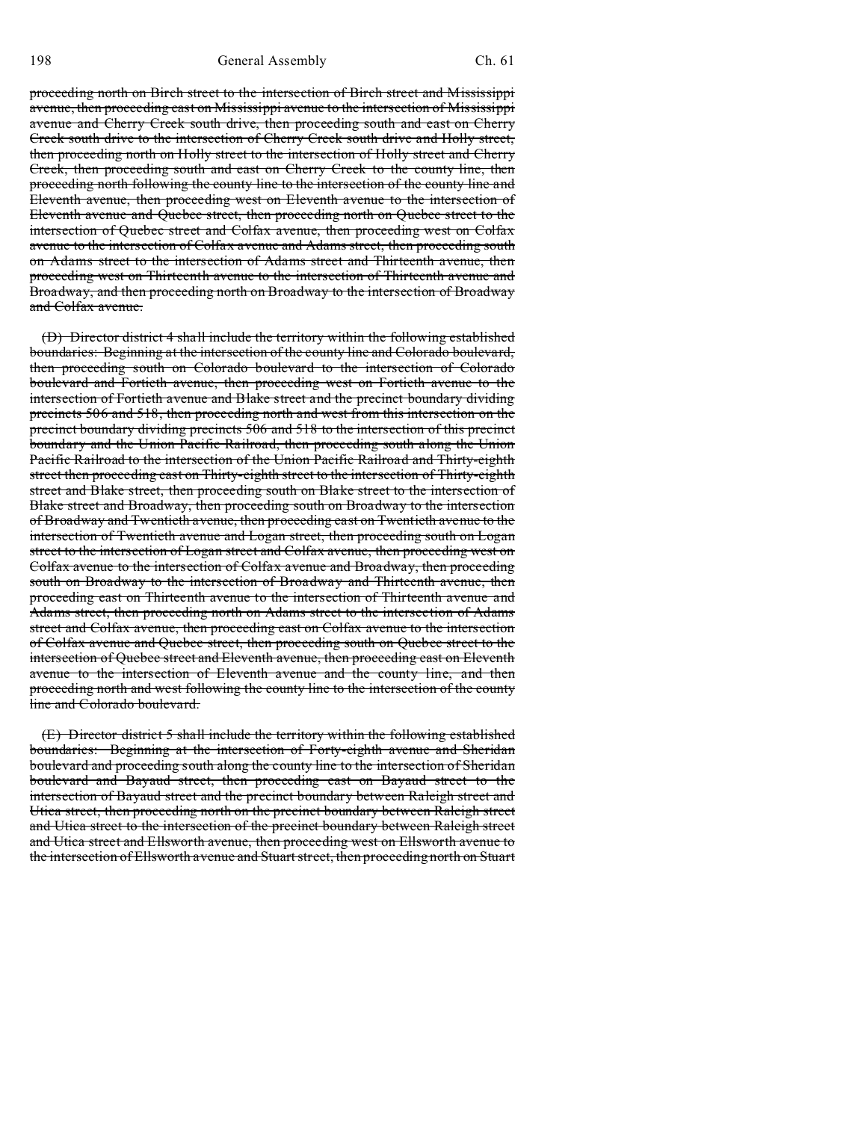198 General Assembly Ch. 61

proceeding north on Birch street to the intersection of Birch street and Mississippi avenue, then proceeding east on Mississippi avenue to the intersection of Mississippi avenue and Cherry Creek south drive, then proceeding south and east on Cherry Creek south drive to the intersection of Cherry Creek south drive and Holly street, then proceeding north on Holly street to the intersection of Holly street and Cherry Creek, then proceeding south and east on Cherry Creek to the county line, then proceeding north following the county line to the intersection of the county line and Eleventh avenue, then proceeding west on Eleventh avenue to the intersection of Eleventh avenue and Quebec street, then proceeding north on Quebec street to the intersection of Quebec street and Colfax avenue, then proceeding west on Colfax avenue to the intersection of Colfax avenue and Adams street, then proceeding south on Adams street to the intersection of Adams street and Thirteenth avenue, then proceeding west on Thirteenth avenue to the intersection of Thirteenth avenue and Broadway, and then proceeding north on Broadway to the intersection of Broadway and Colfax avenue.

(D) Director district 4 shall include the territory within the following established boundaries: Beginning at the intersection of the county line and Colorado boulevard, then proceeding south on Colorado boulevard to the intersection of Colorado boulevard and Fortieth avenue, then proceeding west on Fortieth avenue to the intersection of Fortieth avenue and Blake street and the precinct boundary dividing precincts 506 and 518, then proceeding north and west from this intersection on the precinct boundary dividing precincts 506 and 518 to the intersection of this precinct boundary and the Union Pacific Railroad, then proceeding south along the Union Pacific Railroad to the intersection of the Union Pacific Railroad and Thirty-eighth street then proceeding east on Thirty-eighth street to the intersection of Thirty-eighth street and Blake street, then proceeding south on Blake street to the intersection of Blake street and Broadway, then proceeding south on Broadway to the intersection of Broadway and Twentieth avenue, then proceeding east on Twentieth avenue to the intersection of Twentieth avenue and Logan street, then proceeding south on Logan street to the intersection of Logan street and Colfax avenue, then proceeding west on Colfax avenue to the intersection of Colfax avenue and Broadway, then proceeding south on Broadway to the intersection of Broadway and Thirteenth avenue, then proceeding east on Thirteenth avenue to the intersection of Thirteenth avenue and Adams street, then proceeding north on Adams street to the intersection of Adams street and Colfax avenue, then proceeding east on Colfax avenue to the intersection of Colfax avenue and Quebec street, then proceeding south on Quebec street to the intersection of Quebec street and Eleventh avenue, then proceeding east on Eleventh avenue to the intersection of Eleventh avenue and the county line, and then proceeding north and west following the county line to the intersection of the county line and Colorado boulevard.

(E) Director district 5 shall include the territory within the following established boundaries: Beginning at the intersection of Forty-eighth avenue and Sheridan boulevard and proceeding south along the county line to the intersection of Sheridan boulevard and Bayaud street, then proceeding east on Bayaud street to the intersection of Bayaud street and the precinct boundary between Raleigh street and Utica street, then proceeding north on the precinct boundary between Raleigh street and Utica street to the intersection of the precinct boundary between Raleigh street and Utica street and Ellsworth avenue, then proceeding west on Ellsworth avenue to the intersection of Ellsworth avenue and Stuart street, then proceeding north on Stuart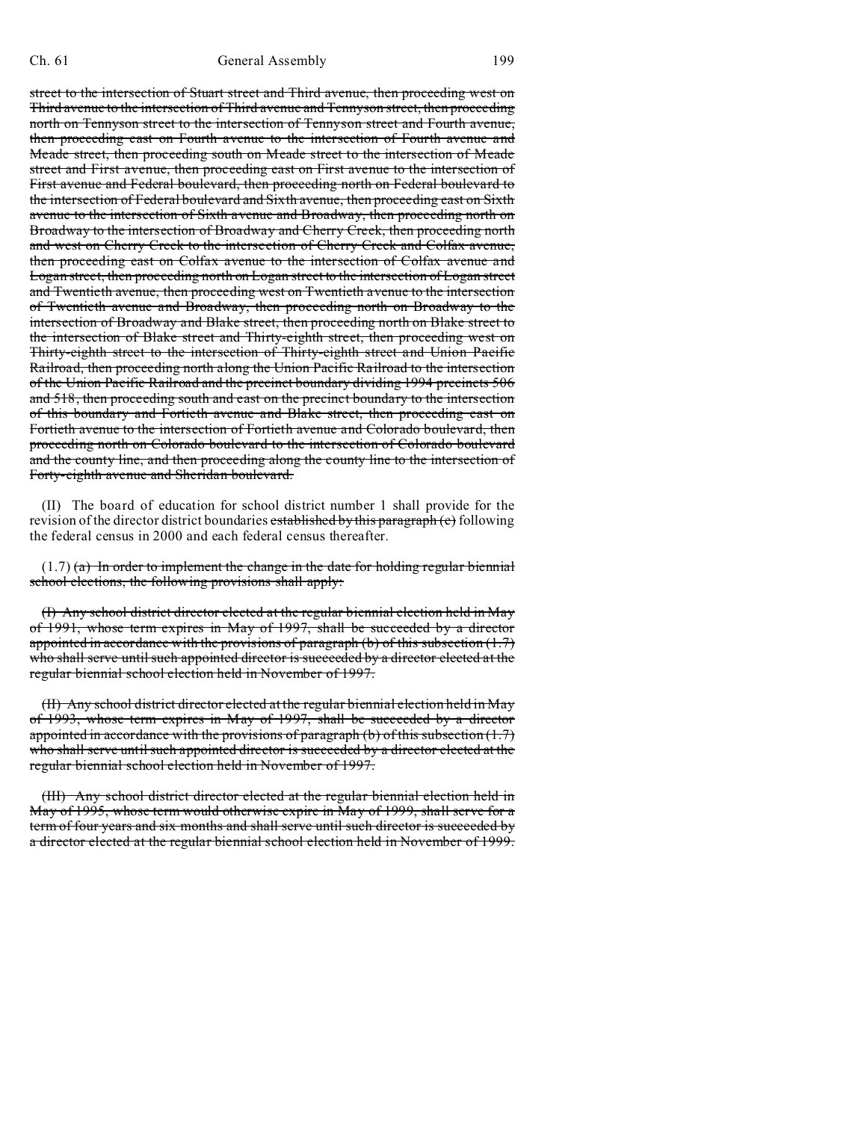street to the intersection of Stuart street and Third avenue, then proceeding west on Third avenue to the intersection of Third avenue and Tennyson street, then proceeding north on Tennyson street to the intersection of Tennyson street and Fourth avenue, then proceeding east on Fourth avenue to the intersection of Fourth avenue and Meade street, then proceeding south on Meade street to the intersection of Meade street and First avenue, then proceeding east on First avenue to the intersection of First avenue and Federal boulevard, then proceeding north on Federal boulevard to the intersection of Federal boulevard and Sixth avenue, then proceeding east on Sixth avenue to the intersection of Sixth avenue and Broadway, then proceeding north on Broadway to the intersection of Broadway and Cherry Creek, then proceeding north and west on Cherry Creek to the intersection of Cherry Creek and Colfax avenue, then proceeding east on Colfax avenue to the intersection of Colfax avenue and Logan street, then proceeding north on Logan street to the intersection of Logan street and Twentieth avenue, then proceeding west on Twentieth avenue to the intersection of Twentieth avenue and Broadway, then proceeding north on Broadway to the intersection of Broadway and Blake street, then proceeding north on Blake street to the intersection of Blake street and Thirty-eighth street, then proceeding west on Thirty-eighth street to the intersection of Thirty-eighth street and Union Pacific Railroad, then proceeding north along the Union Pacific Railroad to the intersection of the Union Pacific Railroad and the precinct boundary dividing 1994 precincts 506 and 518, then proceeding south and east on the precinct boundary to the intersection of this boundary and Fortieth avenue and Blake street, then proceeding east on Fortieth avenue to the intersection of Fortieth avenue and Colorado boulevard, then proceeding north on Colorado boulevard to the intersection of Colorado boulevard and the county line, and then proceeding along the county line to the intersection of Forty-eighth avenue and Sheridan boulevard.

(II) The board of education for school district number 1 shall provide for the revision of the director district boundaries established by this paragraph (c) following the federal census in 2000 and each federal census thereafter.

 $(1.7)$  (a) In order to implement the change in the date for holding regular biennial school elections, the following provisions shall apply:

(I) Any school district director elected at the regular biennial election held in May of 1991, whose term expires in May of 1997, shall be succeeded by a director appointed in accordance with the provisions of paragraph (b) of this subsection  $(1.7)$ who shall serve until such appointed director is succeeded by a director elected at the regular biennial school election held in November of 1997.

(II) Any school district director elected at the regular biennial election held in May of 1993, whose term expires in May of 1997, shall be succeeded by a director appointed in accordance with the provisions of paragraph (b) of this subsection  $(1.7)$ who shall serve until such appointed director is succeeded by a director elected at the regular biennial school election held in November of 1997.

(III) Any school district director elected at the regular biennial election held in May of 1995, whose term would otherwise expire in May of 1999, shall serve for a term of four years and six months and shall serve until such director is succeeded by a director elected at the regular biennial school election held in November of 1999.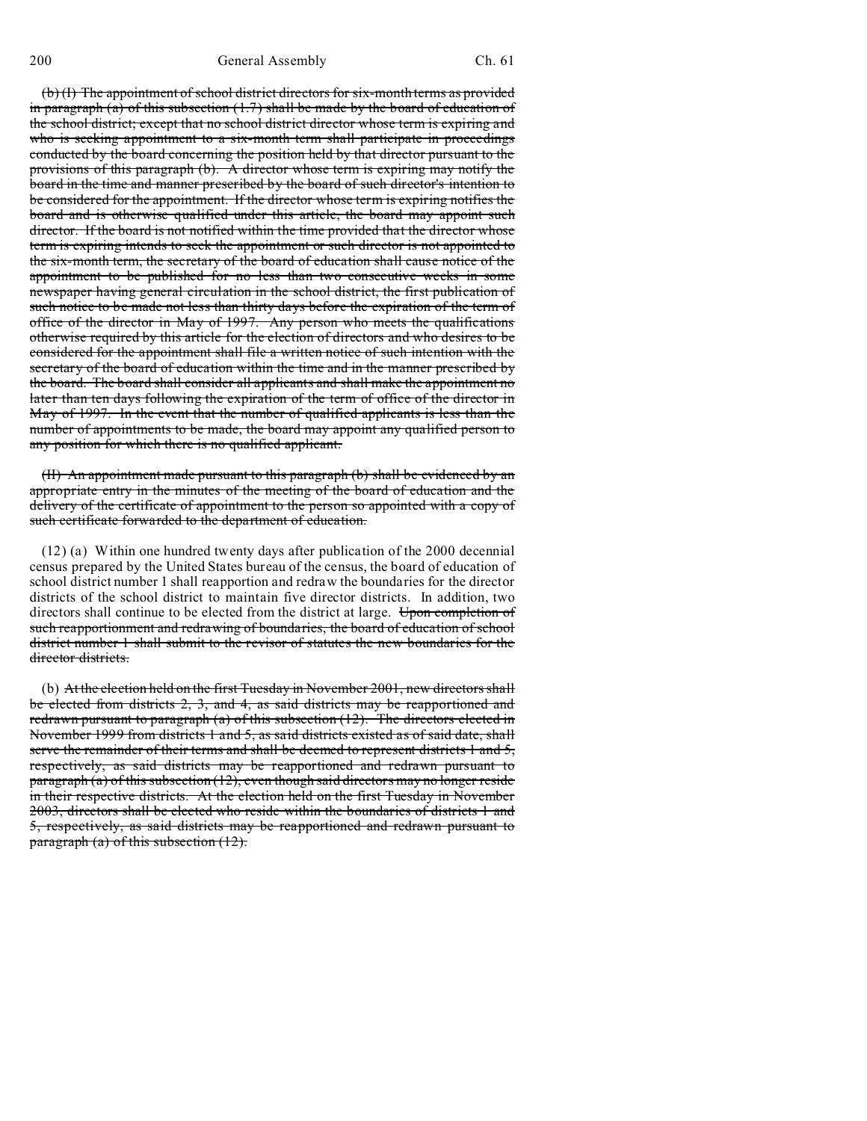(b) (I) The appointment of school district directors for six-month terms as provided in paragraph (a) of this subsection  $(1.7)$  shall be made by the board of education of the school district; except that no school district director whose term is expiring and who is seeking appointment to a six-month term shall participate in proceedings conducted by the board concerning the position held by that director pursuant to the provisions of this paragraph (b). A director whose term is expiring may notify the board in the time and manner prescribed by the board of such director's intention to be considered for the appointment. If the director whose term is expiring notifies the board and is otherwise qualified under this article, the board may appoint such director. If the board is not notified within the time provided that the director whose term is expiring intends to seek the appointment or such director is not appointed to the six-month term, the secretary of the board of education shall cause notice of the appointment to be published for no less than two consecutive weeks in some newspaper having general circulation in the school district, the first publication of such notice to be made not less than thirty days before the expiration of the term of office of the director in May of 1997. Any person who meets the qualifications otherwise required by this article for the election of directors and who desires to be considered for the appointment shall file a written notice of such intention with the secretary of the board of education within the time and in the manner prescribed by the board. The board shall consider all applicants and shall make the appointment no later than ten days following the expiration of the term of office of the director in May of 1997. In the event that the number of qualified applicants is less than the number of appointments to be made, the board may appoint any qualified person to any position for which there is no qualified applicant.

(II) An appointment made pursuant to this paragraph (b) shall be evidenced by an appropriate entry in the minutes of the meeting of the board of education and the delivery of the certificate of appointment to the person so appointed with a copy of such certificate forwarded to the department of education.

(12) (a) Within one hundred twenty days after publication of the 2000 decennial census prepared by the United States bureau of the census, the board of education of school district number 1 shall reapportion and redraw the boundaries for the director districts of the school district to maintain five director districts. In addition, two directors shall continue to be elected from the district at large. Upon completion of such reapportionment and redrawing of boundaries, the board of education of school district number 1 shall submit to the revisor of statutes the new boundaries for the director districts.

(b) At the election held on the first Tuesday in November 2001, new directors shall be elected from districts 2, 3, and 4, as said districts may be reapportioned and redrawn pursuant to paragraph (a) of this subsection (12). The directors elected in November 1999 from districts 1 and 5, as said districts existed as of said date, shall serve the remainder of their terms and shall be deemed to represent districts 1 and 5, respectively, as said districts may be reapportioned and redrawn pursuant to paragraph (a) of this subsection  $(12)$ , even though said directors may no longer reside in their respective districts. At the election held on the first Tuesday in November 2003, directors shall be elected who reside within the boundaries of districts 1 and 5, respectively, as said districts may be reapportioned and redrawn pursuant to paragraph (a) of this subsection (12).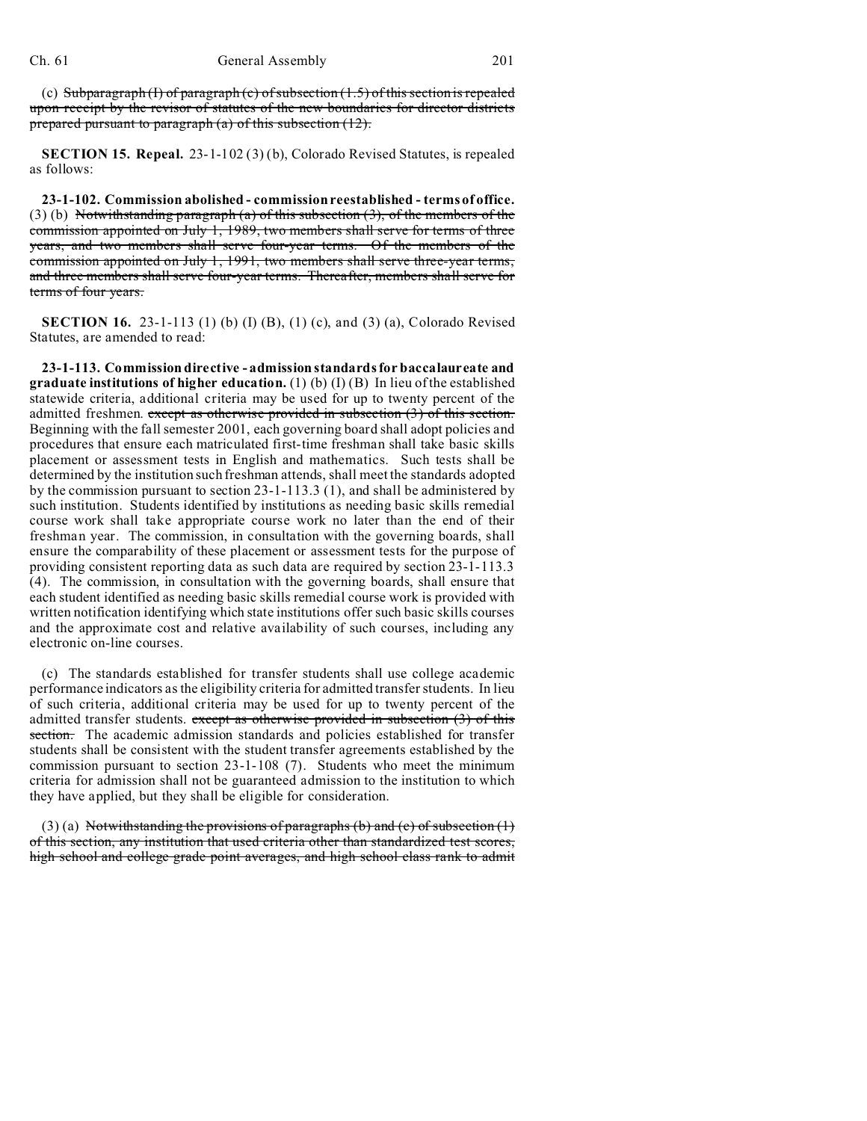(c) Subparagraph (I) of paragraph (c) of subsection  $(1.5)$  of this section is repealed upon receipt by the revisor of statutes of the new boundaries for director districts prepared pursuant to paragraph  $(a)$  of this subsection  $(12)$ .

**SECTION 15. Repeal.** 23-1-102 (3) (b), Colorado Revised Statutes, is repealed as follows:

**23-1-102. Commission abolished - commission reestablished - terms of office.** (3) (b) Notwithstanding paragraph (a) of this subsection (3), of the members of the commission appointed on July 1, 1989, two members shall serve for terms of three years, and two members shall serve four-year terms. Of the members of the commission appointed on July 1, 1991, two members shall serve three-year terms, and three members shall serve four-year terms. Thereafter, members shall serve for terms of four years.

**SECTION 16.** 23-1-113 (1) (b) (I) (B), (1) (c), and (3) (a), Colorado Revised Statutes, are amended to read:

**23-1-113. Commission directive - admission standards for baccalaureate and graduate institutions of higher education.** (1) (b) (I) (B) In lieu of the established statewide criteria, additional criteria may be used for up to twenty percent of the admitted freshmen. except as otherwise provided in subsection  $(3)$  of this section. Beginning with the fall semester 2001, each governing board shall adopt policies and procedures that ensure each matriculated first-time freshman shall take basic skills placement or assessment tests in English and mathematics. Such tests shall be determined by the institution such freshman attends, shall meet the standards adopted by the commission pursuant to section 23-1-113.3 (1), and shall be administered by such institution. Students identified by institutions as needing basic skills remedial course work shall take appropriate course work no later than the end of their freshman year. The commission, in consultation with the governing boards, shall ensure the comparability of these placement or assessment tests for the purpose of providing consistent reporting data as such data are required by section 23-1-113.3 (4). The commission, in consultation with the governing boards, shall ensure that each student identified as needing basic skills remedial course work is provided with written notification identifying which state institutions offer such basic skills courses and the approximate cost and relative availability of such courses, including any electronic on-line courses.

(c) The standards established for transfer students shall use college academic performance indicators as the eligibility criteria for admitted transfer students. In lieu of such criteria, additional criteria may be used for up to twenty percent of the admitted transfer students. except as otherwise provided in subsection (3) of this section. The academic admission standards and policies established for transfer students shall be consistent with the student transfer agreements established by the commission pursuant to section 23-1-108 (7). Students who meet the minimum criteria for admission shall not be guaranteed admission to the institution to which they have applied, but they shall be eligible for consideration.

(3) (a) Notwithstanding the provisions of paragraphs (b) and (c) of subsection  $(1)$ of this section, any institution that used criteria other than standardized test scores, high school and college grade point averages, and high school class rank to admit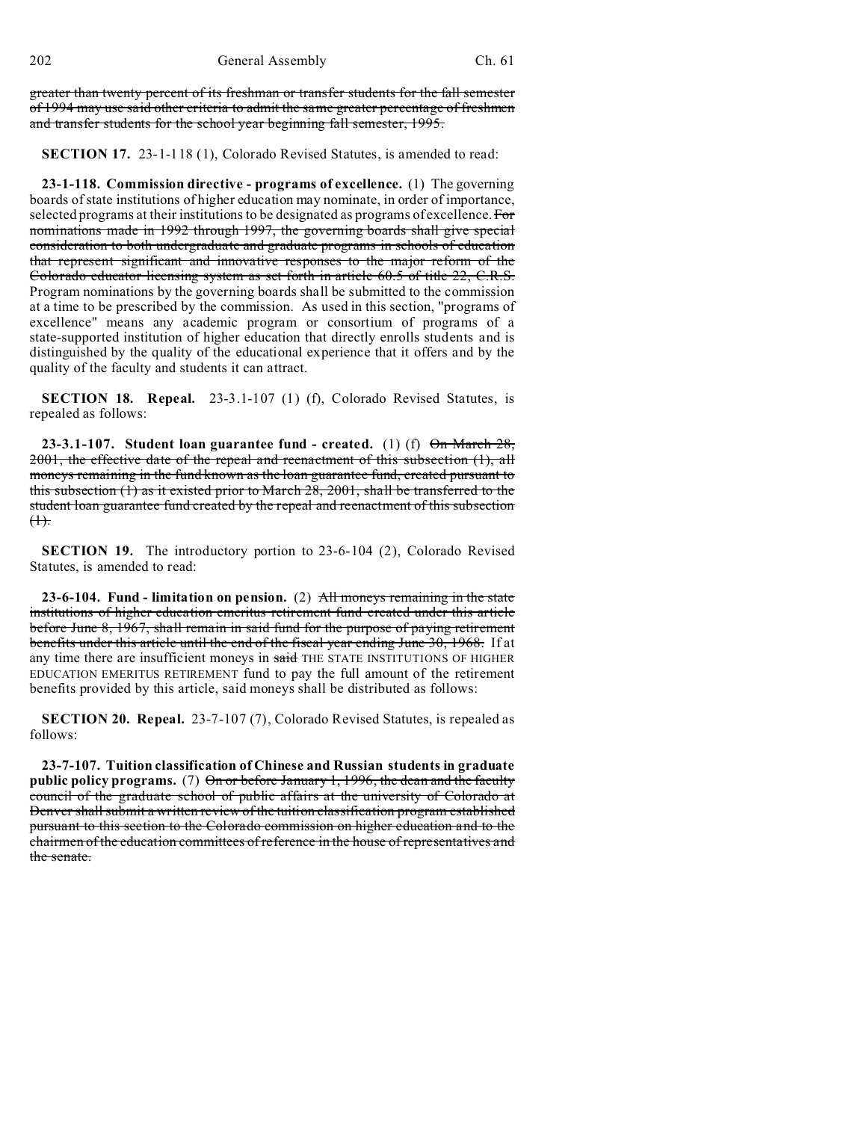greater than twenty percent of its freshman or transfer students for the fall semester of 1994 may use said other criteria to admit the same greater percentage of freshmen and transfer students for the school year beginning fall semester, 1995.

**SECTION 17.** 23-1-118 (1), Colorado Revised Statutes, is amended to read:

**23-1-118. Commission directive - programs of excellence.** (1) The governing boards of state institutions of higher education may nominate, in order of importance, selected programs at their institutions to be designated as programs of excellence. For nominations made in 1992 through 1997, the governing boards shall give special consideration to both undergraduate and graduate programs in schools of education that represent significant and innovative responses to the major reform of the Colorado educator licensing system as set forth in article 60.5 of title 22, C.R.S. Program nominations by the governing boards shall be submitted to the commission at a time to be prescribed by the commission. As used in this section, "programs of excellence" means any academic program or consortium of programs of a state-supported institution of higher education that directly enrolls students and is distinguished by the quality of the educational experience that it offers and by the quality of the faculty and students it can attract.

**SECTION 18. Repeal.** 23-3.1-107 (1) (f), Colorado Revised Statutes, is repealed as follows:

**23-3.1-107. Student loan guarantee fund - created.** (1) (f) On March 28, 2001, the effective date of the repeal and reenactment of this subsection (1), all moneys remaining in the fund known as the loan guarantee fund, created pursuant to this subsection (1) as it existed prior to March 28, 2001, shall be transferred to the student loan guarantee fund created by the repeal and reenactment of this subsection  $(1)$ .

**SECTION 19.** The introductory portion to 23-6-104 (2), Colorado Revised Statutes, is amended to read:

**23-6-104. Fund - limitation on pension.** (2) All moneys remaining in the state institutions of higher education emeritus retirement fund created under this article before June 8, 1967, shall remain in said fund for the purpose of paying retirement benefits under this article until the end of the fiscal year ending June 30, 1968. If at any time there are insufficient moneys in said THE STATE INSTITUTIONS OF HIGHER EDUCATION EMERITUS RETIREMENT fund to pay the full amount of the retirement benefits provided by this article, said moneys shall be distributed as follows:

**SECTION 20. Repeal.** 23-7-107 (7), Colorado Revised Statutes, is repealed as follows:

**23-7-107. Tuition classification of Chinese and Russian students in graduate public policy programs.** (7) On or before January 1, 1996, the dean and the faculty council of the graduate school of public affairs at the university of Colorado at Denver shall submit a written review of the tuition classification program established pursuant to this section to the Colorado commission on higher education and to the chairmen of the education committees of reference in the house of representatives and the senate.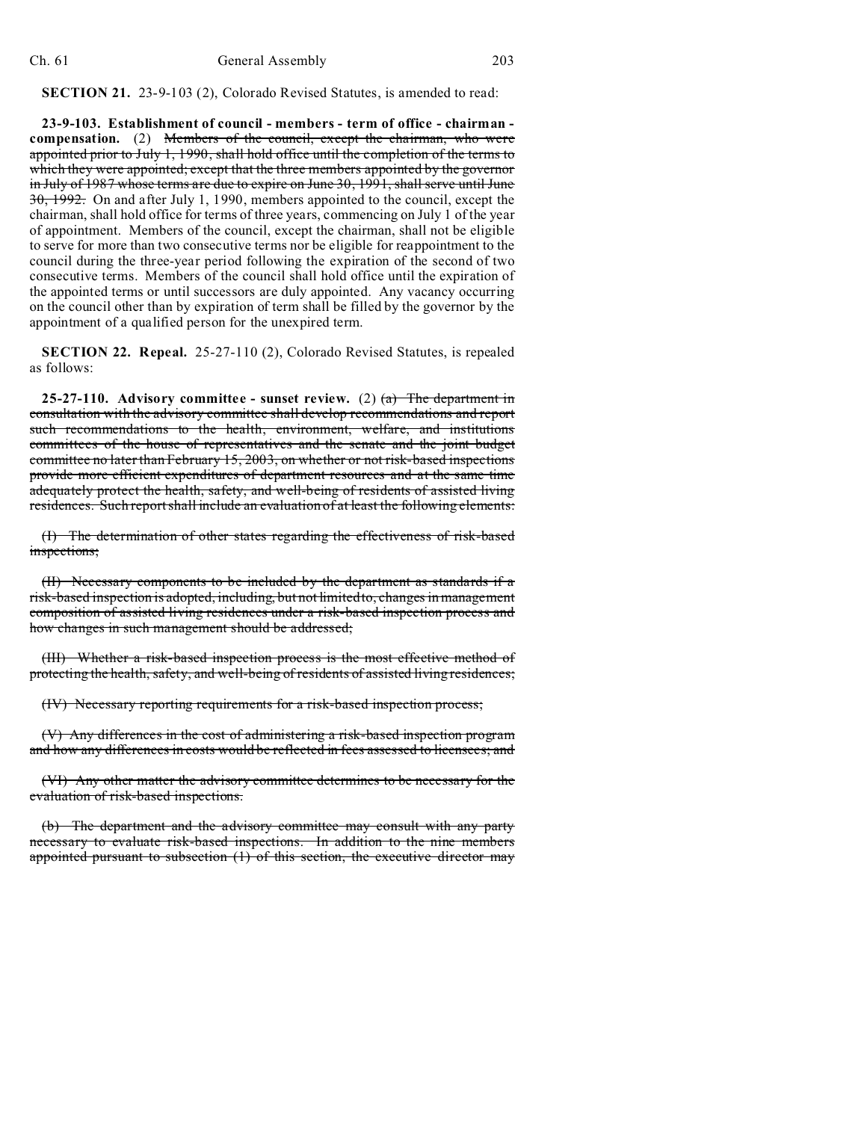**SECTION 21.** 23-9-103 (2), Colorado Revised Statutes, is amended to read:

**23-9-103. Establishment of council - members - term of office - chairman compensation.** (2) Members of the council, except the chairman, who were appointed prior to July 1, 1990, shall hold office until the completion of the terms to which they were appointed; except that the three members appointed by the governor in July of 1987 whose terms are due to expire on June 30, 1991, shall serve until June 30, 1992. On and after July 1, 1990, members appointed to the council, except the chairman, shall hold office for terms of three years, commencing on July 1 of the year of appointment. Members of the council, except the chairman, shall not be eligible to serve for more than two consecutive terms nor be eligible for reappointment to the council during the three-year period following the expiration of the second of two consecutive terms. Members of the council shall hold office until the expiration of the appointed terms or until successors are duly appointed. Any vacancy occurring on the council other than by expiration of term shall be filled by the governor by the appointment of a qualified person for the unexpired term.

**SECTION 22. Repeal.** 25-27-110 (2), Colorado Revised Statutes, is repealed as follows:

**25-27-110.** Advisory committee - sunset review. (2)  $(a)$  The department in consultation with the advisory committee shall develop recommendations and report such recommendations to the health, environment, welfare, and institutions committees of the house of representatives and the senate and the joint budget committee no later than February 15, 2003, on whether or not risk-based inspections provide more efficient expenditures of department resources and at the same time adequately protect the health, safety, and well-being of residents of assisted living residences. Such report shall include an evaluation of at least the following elements:

(I) The determination of other states regarding the effectiveness of risk-based inspections;

(II) Necessary components to be included by the department as standards if a risk-based inspection is adopted, including, but not limited to, changes in management composition of assisted living residences under a risk-based inspection process and how changes in such management should be addressed;

(III) Whether a risk-based inspection process is the most effective method of protecting the health, safety, and well-being of residents of assisted living residences;

(IV) Necessary reporting requirements for a risk-based inspection process;

(V) Any differences in the cost of administering a risk-based inspection program and how any differences in costs would be reflected in fees assessed to licensees; and

(VI) Any other matter the advisory committee determines to be necessary for the evaluation of risk-based inspections.

(b) The department and the advisory committee may consult with any party necessary to evaluate risk-based inspections. In addition to the nine members appointed pursuant to subsection (1) of this section, the executive director may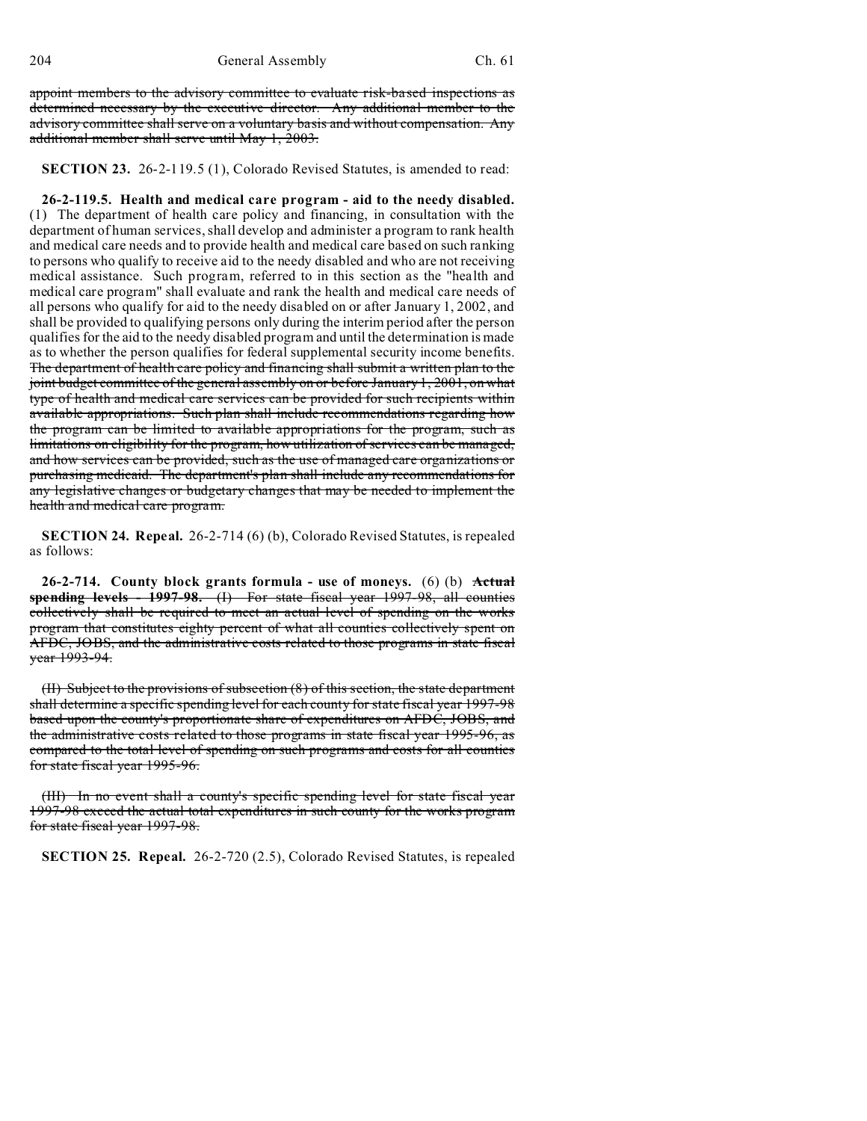appoint members to the advisory committee to evaluate risk-based inspections as determined necessary by the executive director. Any additional member to the advisory committee shall serve on a voluntary basis and without compensation. Any additional member shall serve until May 1, 2003.

**SECTION 23.** 26-2-119.5 (1), Colorado Revised Statutes, is amended to read:

**26-2-119.5. Health and medical care program - aid to the needy disabled.** (1) The department of health care policy and financing, in consultation with the department of human services, shall develop and administer a program to rank health and medical care needs and to provide health and medical care based on such ranking to persons who qualify to receive aid to the needy disabled and who are not receiving medical assistance. Such program, referred to in this section as the "health and medical care program" shall evaluate and rank the health and medical care needs of all persons who qualify for aid to the needy disabled on or after January 1, 2002, and shall be provided to qualifying persons only during the interim period after the person qualifies for the aid to the needy disabled program and until the determination is made as to whether the person qualifies for federal supplemental security income benefits. The department of health care policy and financing shall submit a written plan to the joint budget committee of the general assembly on or before January 1, 2001, on what type of health and medical care services can be provided for such recipients within available appropriations. Such plan shall include recommendations regarding how the program can be limited to available appropriations for the program, such as limitations on eligibility for the program, how utilization of services can be managed, and how services can be provided, such as the use of managed care organizations or purchasing medicaid. The department's plan shall include any recommendations for any legislative changes or budgetary changes that may be needed to implement the health and medical care program.

**SECTION 24. Repeal.** 26-2-714 (6) (b), Colorado Revised Statutes, is repealed as follows:

**26-2-714. County block grants formula - use of moneys.** (6) (b) **Actual spending levels - 1997-98.** (I) For state fiscal year 1997-98, all counties collectively shall be required to meet an actual level of spending on the works program that constitutes eighty percent of what all counties collectively spent on AFDC, JOBS, and the administrative costs related to those programs in state fiscal year 1993-94.

(II) Subject to the provisions of subsection (8) of this section, the state department shall determine a specific spending level for each county for state fiscal year 1997-98 based upon the county's proportionate share of expenditures on AFDC, JOBS, and the administrative costs related to those programs in state fiscal year 1995-96, as compared to the total level of spending on such programs and costs for all counties for state fiscal year 1995-96.

(III) In no event shall a county's specific spending level for state fiscal year 1997-98 exceed the actual total expenditures in such county for the works program for state fiscal year 1997-98.

**SECTION 25. Repeal.** 26-2-720 (2.5), Colorado Revised Statutes, is repealed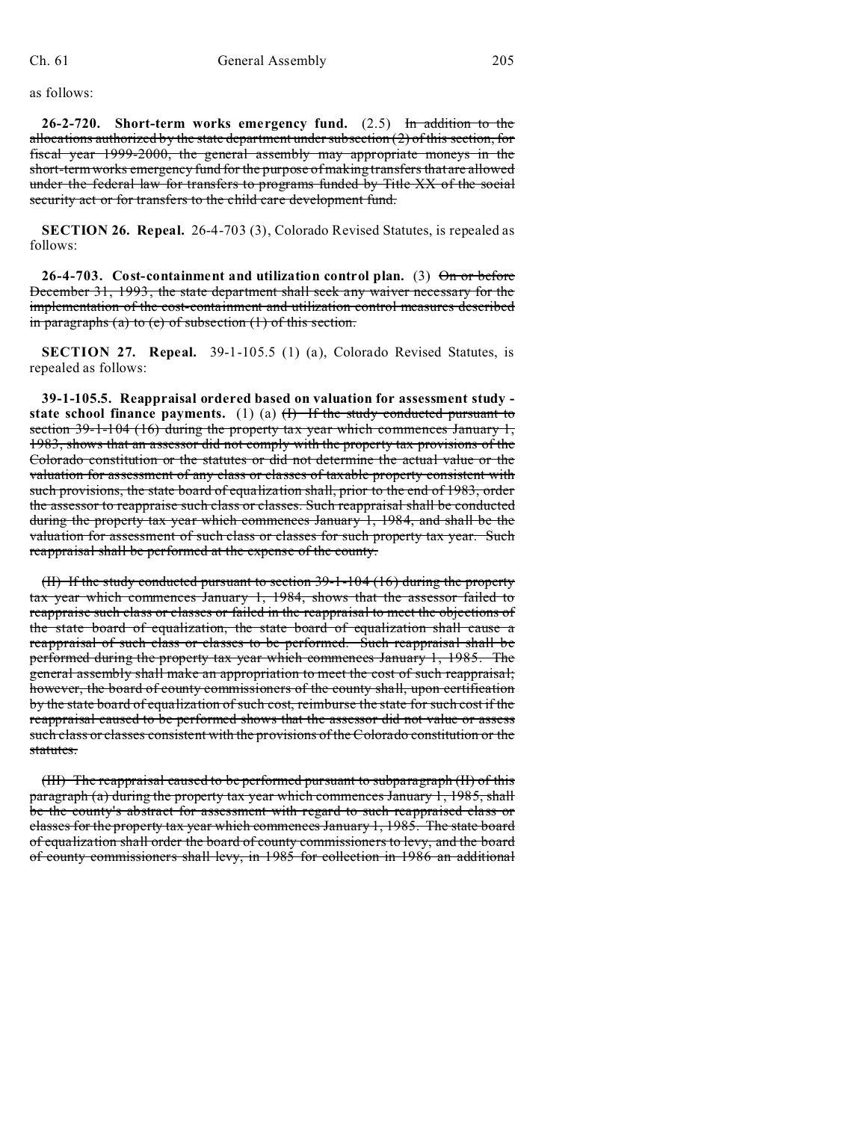as follows:

**26-2-720. Short-term works emergency fund.** (2.5) In addition to the allocations authorized by the state department under subsection  $(2)$  of this section, for fiscal year 1999-2000, the general assembly may appropriate moneys in the short-term works emergency fund for the purpose of making transfers that are allowed under the federal law for transfers to programs funded by Title XX of the social security act or for transfers to the child care development fund.

**SECTION 26. Repeal.** 26-4-703 (3), Colorado Revised Statutes, is repealed as follows:

**26-4-703. Cost-containment and utilization control plan.** (3) On or before December 31, 1993, the state department shall seek any waiver necessary for the implementation of the cost-containment and utilization control measures described in paragraphs (a) to (e) of subsection  $(1)$  of this section.

**SECTION 27. Repeal.** 39-1-105.5 (1) (a), Colorado Revised Statutes, is repealed as follows:

**39-1-105.5. Reappraisal ordered based on valuation for assessment study**  state school finance payments.  $(1)$   $(a)$   $(\overline{1})$  If the study conducted pursuant to section  $39-1-104$  (16) during the property tax year which commences January 1, 1983, shows that an assessor did not comply with the property tax provisions of the Colorado constitution or the statutes or did not determine the actual value or the valuation for assessment of any class or classes of taxable property consistent with such provisions, the state board of equalization shall, prior to the end of 1983, order the assessor to reappraise such class or classes. Such reappraisal shall be conducted during the property tax year which commences January 1, 1984, and shall be the valuation for assessment of such class or classes for such property tax year. Such reappraisal shall be performed at the expense of the county.

(II) If the study conducted pursuant to section 39-1-104 (16) during the property tax year which commences January 1, 1984, shows that the assessor failed to reappraise such class or classes or failed in the reappraisal to meet the objections of the state board of equalization, the state board of equalization shall cause a reappraisal of such class or classes to be performed. Such reappraisal shall be performed during the property tax year which commences January 1, 1985. The general assembly shall make an appropriation to meet the cost of such reappraisal; however, the board of county commissioners of the county shall, upon certification by the state board of equalization of such cost, reimburse the state for such cost if the reappraisal caused to be performed shows that the assessor did not value or assess such class or classes consistent with the provisions of the Colorado constitution or the statutes.

(III) The reappraisal caused to be performed pursuant to subparagraph (II) of this paragraph (a) during the property tax year which commences January 1, 1985, shall be the county's abstract for assessment with regard to such reappraised class or classes for the property tax year which commences January 1, 1985. The state board of equalization shall order the board of county commissioners to levy, and the board of county commissioners shall levy, in 1985 for collection in 1986 an additional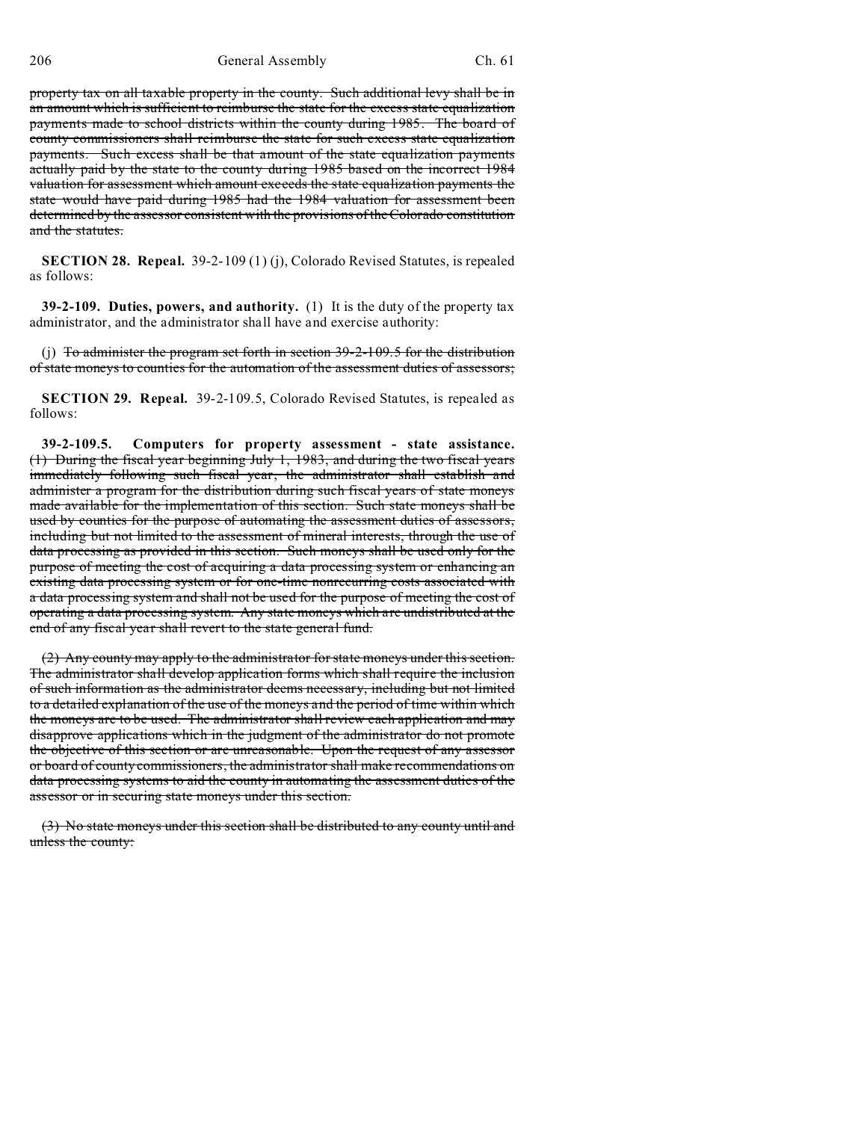property tax on all taxable property in the county. Such additional levy shall be in an amount which is sufficient to reimburse the state for the excess state equalization payments made to school districts within the county during 1985. The board of county commissioners shall reimburse the state for such excess state equalization payments. Such excess shall be that amount of the state equalization payments actually paid by the state to the county during 1985 based on the incorrect 1984 valuation for assessment which amount exceeds the state equalization payments the state would have paid during 1985 had the 1984 valuation for assessment been determined by the assessor consistent with the provisions of the Colorado constitution and the statutes.

**SECTION 28. Repeal.** 39-2-109 (1) (j), Colorado Revised Statutes, is repealed as follows:

**39-2-109. Duties, powers, and authority.** (1) It is the duty of the property tax administrator, and the administrator shall have and exercise authority:

(j) To administer the program set forth in section 39-2-109.5 for the distribution of state moneys to counties for the automation of the assessment duties of assessors;

**SECTION 29. Repeal.** 39-2-109.5, Colorado Revised Statutes, is repealed as follows:

**39-2-109.5. Computers for property assessment - state assistance.** (1) During the fiscal year beginning July 1, 1983, and during the two fiscal years immediately following such fiscal year, the administrator shall establish and administer a program for the distribution during such fiscal years of state moneys made available for the implementation of this section. Such state moneys shall be used by counties for the purpose of automating the assessment duties of assessors, including but not limited to the assessment of mineral interests, through the use of data processing as provided in this section. Such moneys shall be used only for the purpose of meeting the cost of acquiring a data processing system or enhancing an existing data processing system or for one-time nonrecurring costs associated with a data processing system and shall not be used for the purpose of meeting the cost of operating a data processing system. Any state moneys which are undistributed at the end of any fiscal year shall revert to the state general fund.

(2) Any county may apply to the administrator for state moneys under this section. The administrator shall develop application forms which shall require the inclusion of such information as the administrator deems necessary, including but not limited to a detailed explanation of the use of the moneys and the period of time within which the moneys are to be used. The administrator shall review each application and may disapprove applications which in the judgment of the administrator do not promote the objective of this section or are unreasonable. Upon the request of any assessor or board of county commissioners, the administrator shall make recommendations on data processing systems to aid the county in automating the assessment duties of the assessor or in securing state moneys under this section.

(3) No state moneys under this section shall be distributed to any county until and unless the county: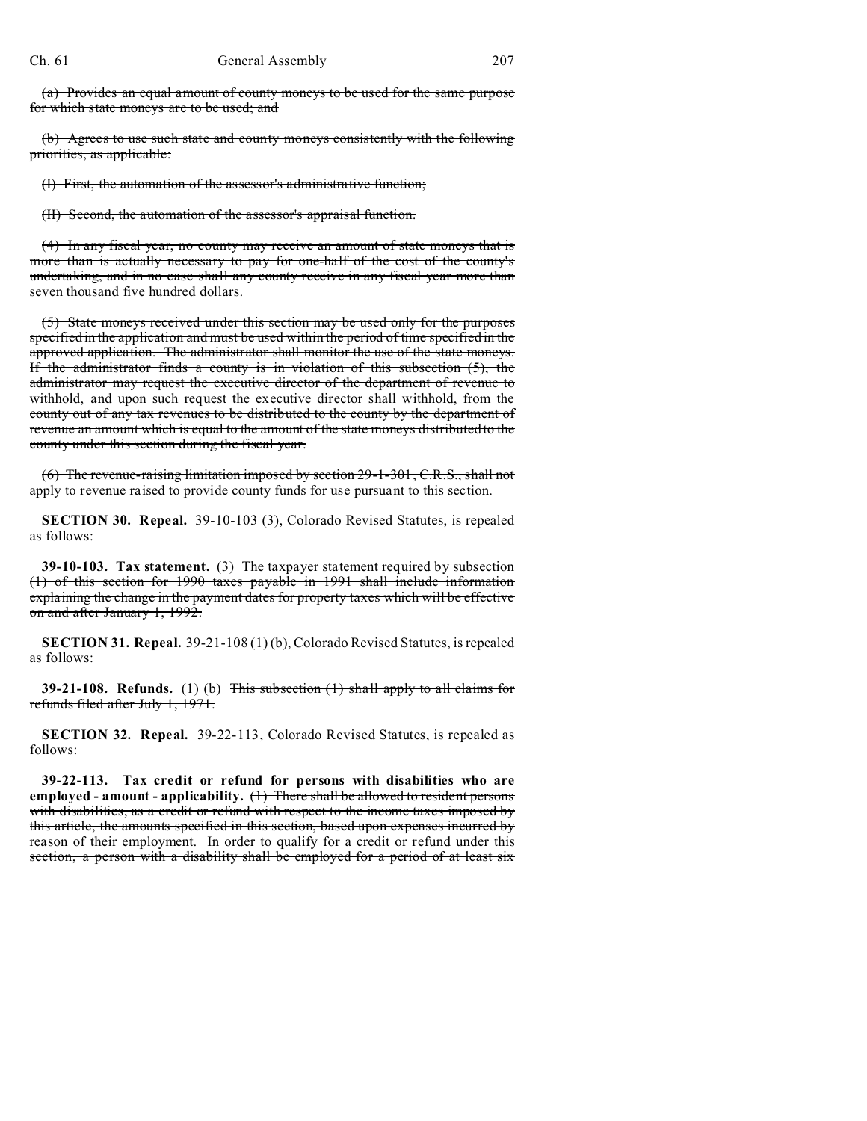(a) Provides an equal amount of county moneys to be used for the same purpose for which state moneys are to be used; and

(b) Agrees to use such state and county moneys consistently with the following priorities, as applicable:

(I) First, the automation of the assessor's administrative function;

(II) Second, the automation of the assessor's appraisal function.

(4) In any fiscal year, no county may receive an amount of state moneys that is more than is actually necessary to pay for one-half of the cost of the county's undertaking, and in no case shall any county receive in any fiscal year more than seven thousand five hundred dollars.

(5) State moneys received under this section may be used only for the purposes specified in the application and must be used within the period of time specified in the approved application. The administrator shall monitor the use of the state moneys. If the administrator finds a county is in violation of this subsection  $(5)$ , the administrator may request the executive director of the department of revenue to withhold, and upon such request the executive director shall withhold, from the county out of any tax revenues to be distributed to the county by the department of revenue an amount which is equal to the amount of the state moneys distributed to the county under this section during the fiscal year.

(6) The revenue-raising limitation imposed by section 29-1-301, C.R.S., shall not apply to revenue raised to provide county funds for use pursuant to this section.

**SECTION 30. Repeal.** 39-10-103 (3), Colorado Revised Statutes, is repealed as follows:

**39-10-103. Tax statement.** (3) The taxpayer statement required by subsection (1) of this section for 1990 taxes payable in 1991 shall include information explaining the change in the payment dates for property taxes which will be effective on and after January 1, 1992.

**SECTION 31. Repeal.** 39-21-108 (1) (b), Colorado Revised Statutes, is repealed as follows:

**39-21-108. Refunds.** (1) (b) This subsection (1) shall apply to all claims for refunds filed after July 1, 1971.

**SECTION 32. Repeal.** 39-22-113, Colorado Revised Statutes, is repealed as follows:

**39-22-113. Tax credit or refund for persons with disabilities who are employed - amount - applicability.** (1) There shall be allowed to resident persons with disabilities, as a credit or refund with respect to the income taxes imposed by this article, the amounts specified in this section, based upon expenses incurred by reason of their employment. In order to qualify for a credit or refund under this section, a person with a disability shall be employed for a period of at least six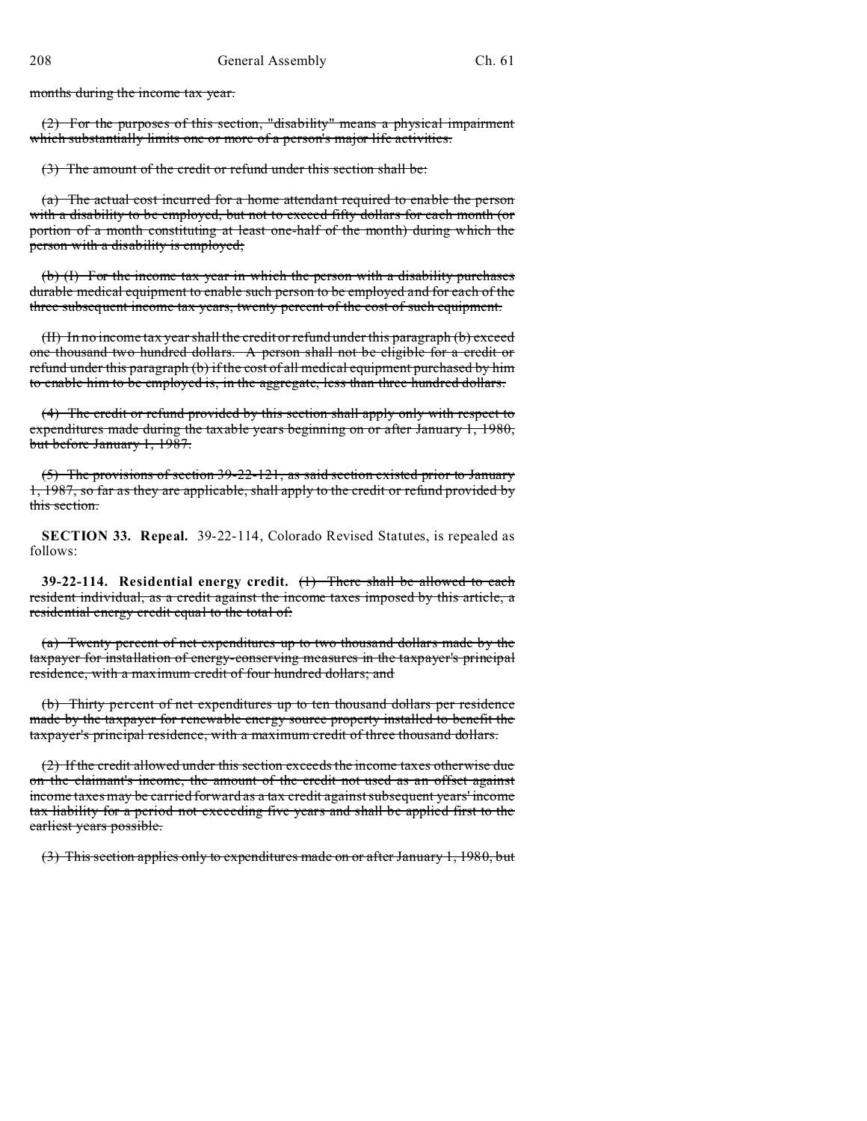months during the income tax year.

(2) For the purposes of this section, "disability" means a physical impairment which substantially limits one or more of a person's major life activities.

(3) The amount of the credit or refund under this section shall be:

(a) The actual cost incurred for a home attendant required to enable the person with a disability to be employed, but not to exceed fifty dollars for each month (or portion of a month constituting at least one-half of the month) during which the person with a disability is employed;

(b) (I) For the income tax year in which the person with a disability purchases durable medical equipment to enable such person to be employed and for each of the three subsequent income tax years, twenty percent of the cost of such equipment.

(II) In no income tax year shall the credit or refund under this paragraph (b) exceed one thousand two hundred dollars. A person shall not be eligible for a credit or refund under this paragraph (b) if the cost of all medical equipment purchased by him to enable him to be employed is, in the aggregate, less than three hundred dollars.

(4) The credit or refund provided by this section shall apply only with respect to expenditures made during the taxable years beginning on or after January 1, 1980, but before January 1, 1987.

(5) The provisions of section 39-22-121, as said section existed prior to January 1, 1987, so far as they are applicable, shall apply to the credit or refund provided by this section.

**SECTION 33. Repeal.** 39-22-114, Colorado Revised Statutes, is repealed as follows:

**39-22-114. Residential energy credit.** (1) There shall be allowed to each resident individual, as a credit against the income taxes imposed by this article, a residential energy credit equal to the total of:

(a) Twenty percent of net expenditures up to two thousand dollars made by the taxpayer for installation of energy-conserving measures in the taxpayer's principal residence, with a maximum credit of four hundred dollars; and

(b) Thirty percent of net expenditures up to ten thousand dollars per residence made by the taxpayer for renewable energy source property installed to benefit the taxpayer's principal residence, with a maximum credit of three thousand dollars.

(2) If the credit allowed under this section exceeds the income taxes otherwise due on the claimant's income, the amount of the credit not used as an offset against income taxes may be carried forward as a tax credit against subsequent years' income tax liability for a period not exceeding five years and shall be applied first to the earliest years possible.

(3) This section applies only to expenditures made on or after January 1, 1980, but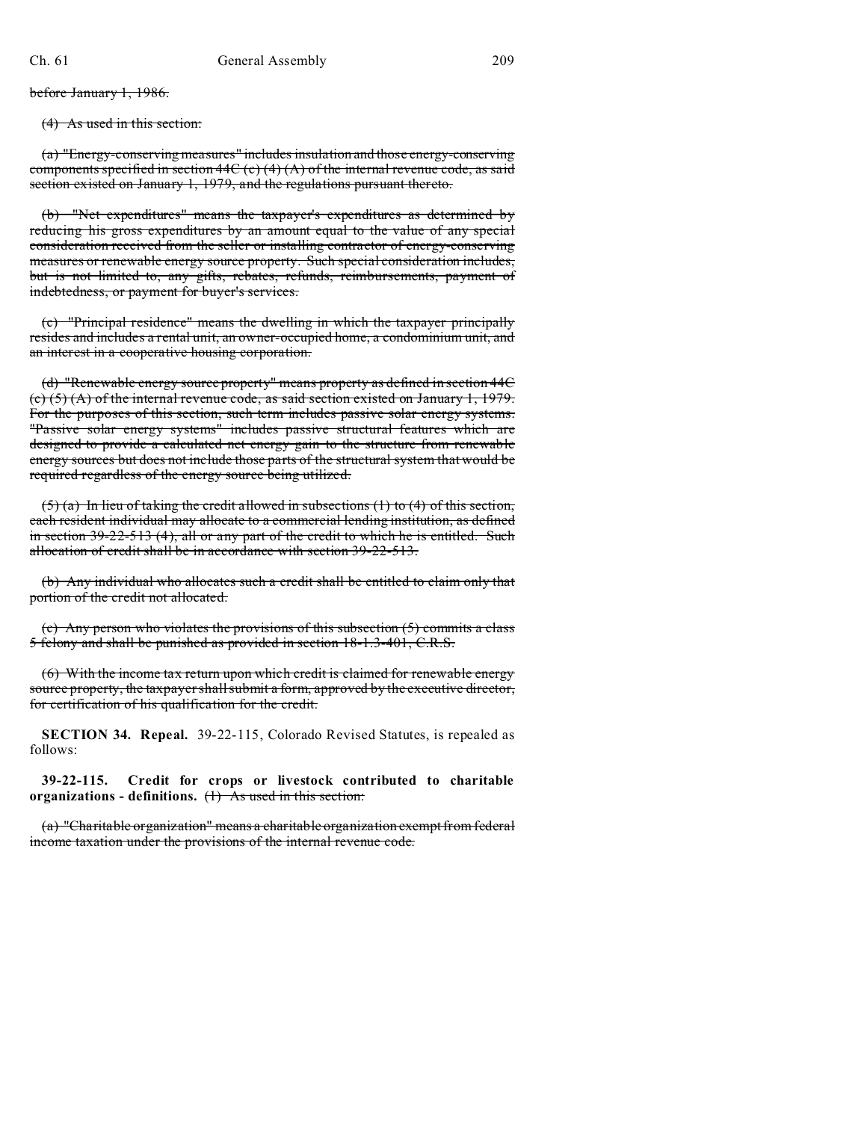before January 1, 1986.

(4) As used in this section:

(a) "Energy-conserving measures" includes insulation and those energy-conserving components specified in section  $44C$  (c)  $(4)$  (A) of the internal revenue code, as said section existed on January 1, 1979, and the regulations pursuant thereto.

(b) "Net expenditures" means the taxpayer's expenditures as determined by reducing his gross expenditures by an amount equal to the value of any special consideration received from the seller or installing contractor of energy-conserving measures or renewable energy source property. Such special consideration includes, but is not limited to, any gifts, rebates, refunds, reimbursements, payment of indebtedness, or payment for buyer's services.

(c) "Principal residence" means the dwelling in which the taxpayer principally resides and includes a rental unit, an owner-occupied home, a condominium unit, and an interest in a cooperative housing corporation.

(d) "Renewable energy source property" means property as defined in section 44C (c) (5) (A) of the internal revenue code, as said section existed on January 1, 1979. For the purposes of this section, such term includes passive solar energy systems. "Passive solar energy systems" includes passive structural features which are designed to provide a calculated net energy gain to the structure from renewable energy sources but does not include those parts of the structural system that would be required regardless of the energy source being utilized.

 $(5)$  (a) In lieu of taking the credit allowed in subsections (1) to (4) of this section, each resident individual may allocate to a commercial lending institution, as defined in section 39-22-513 (4), all or any part of the credit to which he is entitled. Such allocation of credit shall be in accordance with section 39-22-513.

(b) Any individual who allocates such a credit shall be entitled to claim only that portion of the credit not allocated.

(c) Any person who violates the provisions of this subsection (5) commits a class 5 felony and shall be punished as provided in section 18-1.3-401, C.R.S.

(6) With the income tax return upon which credit is claimed for renewable energy source property, the taxpayer shall submit a form, approved by the executive director, for certification of his qualification for the credit.

**SECTION 34. Repeal.** 39-22-115, Colorado Revised Statutes, is repealed as follows:

**39-22-115. Credit for crops or livestock contributed to charitable organizations - definitions.** (1) As used in this section:

(a) "Charitable organization" means a charitable organization exempt from federal income taxation under the provisions of the internal revenue code.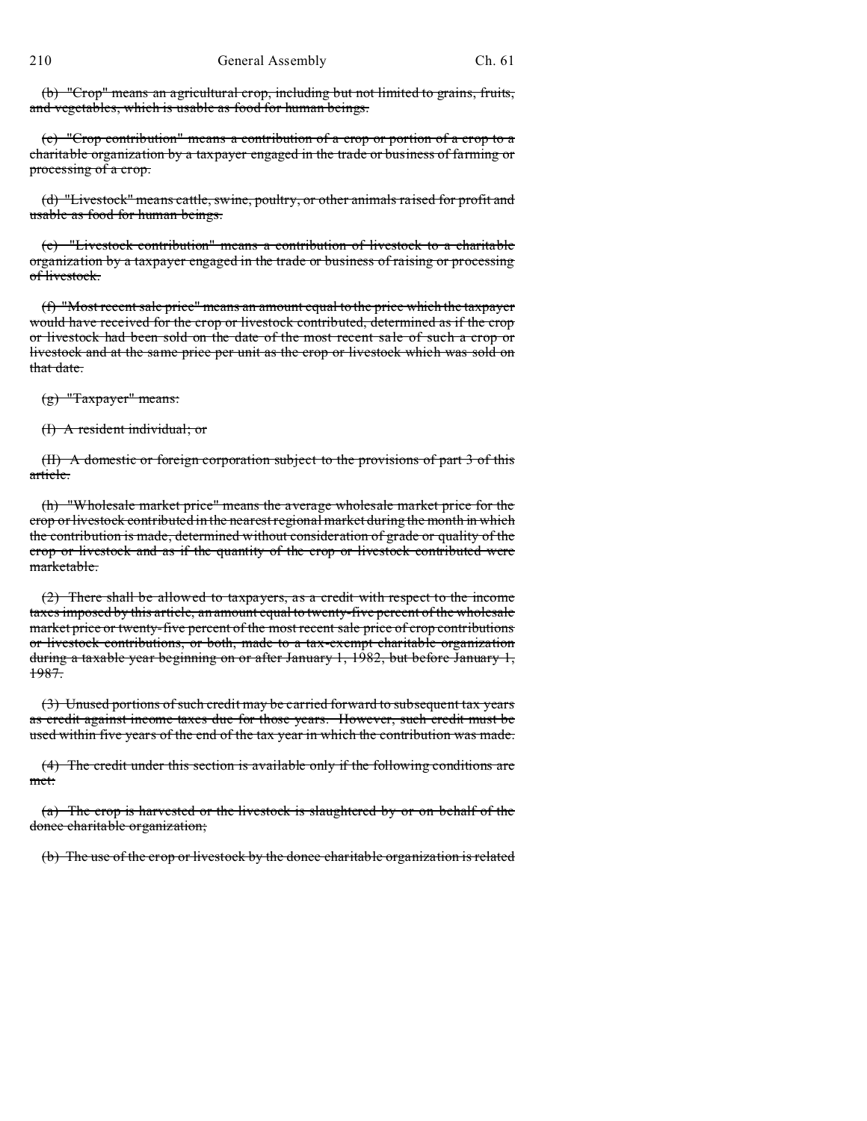(b) "Crop" means an agricultural crop, including but not limited to grains, fruits, and vegetables, which is usable as food for human beings.

(c) "Crop contribution" means a contribution of a crop or portion of a crop to a charitable organization by a taxpayer engaged in the trade or business of farming or processing of a crop.

(d) "Livestock" means cattle, swine, poultry, or other animals raised for profit and usable as food for human beings.

(e) "Livestock contribution" means a contribution of livestock to a charitable organization by a taxpayer engaged in the trade or business of raising or processing of livestock.

(f) "Most recent sale price" means an amount equal to the price which the taxpayer would have received for the crop or livestock contributed, determined as if the crop or livestock had been sold on the date of the most recent sale of such a crop or livestock and at the same price per unit as the crop or livestock which was sold on that date.

(g) "Taxpayer" means:

(I) A resident individual; or

(II) A domestic or foreign corporation subject to the provisions of part 3 of this article.

(h) "Wholesale market price" means the average wholesale market price for the crop or livestock contributed in the nearest regional market during the month in which the contribution is made, determined without consideration of grade or quality of the crop or livestock and as if the quantity of the crop or livestock contributed were marketable.

(2) There shall be allowed to taxpayers, as a credit with respect to the income taxes imposed by this article, an amount equal to twenty-five percent of the wholesale market price or twenty-five percent of the most recent sale price of crop contributions or livestock contributions, or both, made to a tax-exempt charitable organization during a taxable year beginning on or after January 1, 1982, but before January 1, 1987.

(3) Unused portions of such credit may be carried forward to subsequent tax years as credit against income taxes due for those years. However, such credit must be used within five years of the end of the tax year in which the contribution was made.

(4) The credit under this section is available only if the following conditions are met:

(a) The crop is harvested or the livestock is slaughtered by or on behalf of the donee charitable organization;

(b) The use of the crop or livestock by the donee charitable organization is related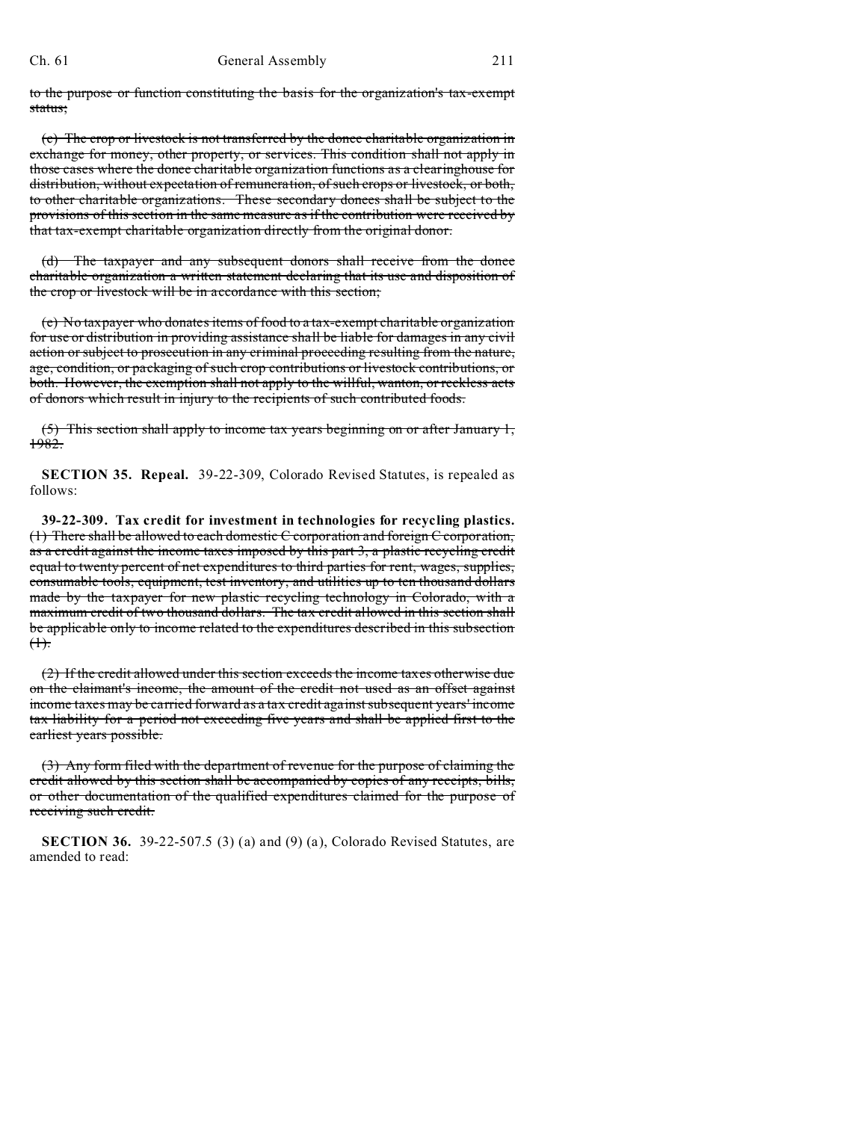to the purpose or function constituting the basis for the organization's tax-exempt status;

(c) The crop or livestock is not transferred by the donee charitable organization in exchange for money, other property, or services. This condition shall not apply in those cases where the donee charitable organization functions as a clearinghouse for distribution, without expectation of remuneration, of such crops or livestock, or both, to other charitable organizations. These secondary donees shall be subject to the provisions of this section in the same measure as if the contribution were received by that tax-exempt charitable organization directly from the original donor.

(d) The taxpayer and any subsequent donors shall receive from the donee charitable organization a written statement declaring that its use and disposition of the crop or livestock will be in accordance with this section;

(e) No taxpayer who donates items of food to a tax-exempt charitable organization for use or distribution in providing assistance shall be liable for damages in any civil action or subject to prosecution in any criminal proceeding resulting from the nature, age, condition, or packaging of such crop contributions or livestock contributions, or both. However, the exemption shall not apply to the willful, wanton, or reckless acts of donors which result in injury to the recipients of such contributed foods.

(5) This section shall apply to income tax years beginning on or after January 1, 1982.

**SECTION 35. Repeal.** 39-22-309, Colorado Revised Statutes, is repealed as follows:

**39-22-309. Tax credit for investment in technologies for recycling plastics.** (1) There shall be allowed to each domestic C corporation and foreign C corporation, as a credit against the income taxes imposed by this part 3, a plastic recycling credit equal to twenty percent of net expenditures to third parties for rent, wages, supplies, consumable tools, equipment, test inventory, and utilities up to ten thousand dollars made by the taxpayer for new plastic recycling technology in Colorado, with a maximum credit of two thousand dollars. The tax credit allowed in this section shall be applicable only to income related to the expenditures described in this subsection  $<sup>4</sup>$ .</sup>

(2) If the credit allowed under this section exceeds the income taxes otherwise due on the claimant's income, the amount of the credit not used as an offset against income taxes may be carried forward as a tax credit against subsequent years' income tax liability for a period not exceeding five years and shall be applied first to the earliest years possible.

(3) Any form filed with the department of revenue for the purpose of claiming the credit allowed by this section shall be accompanied by copies of any receipts, bills, or other documentation of the qualified expenditures claimed for the purpose of receiving such credit.

**SECTION 36.** 39-22-507.5 (3) (a) and (9) (a), Colorado Revised Statutes, are amended to read: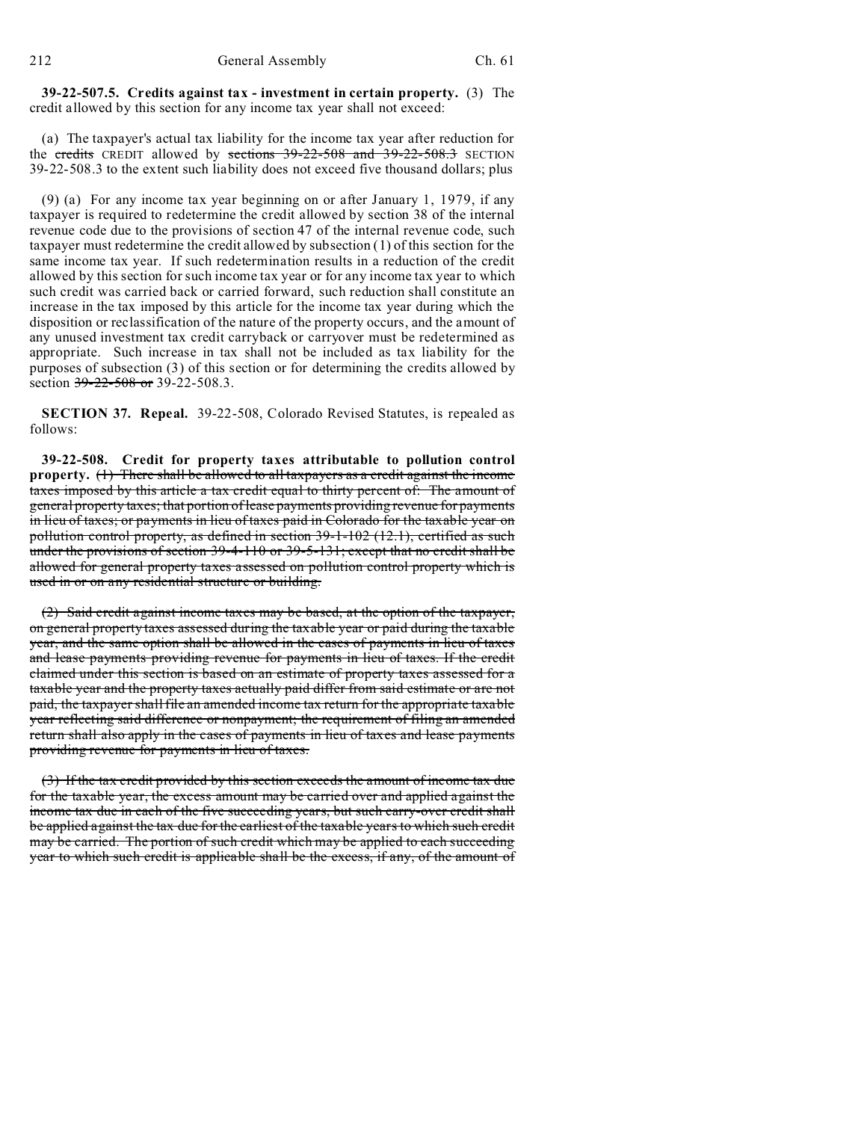212 General Assembly Ch. 61

**39-22-507.5. Credits against tax - investment in certain property.** (3) The credit allowed by this section for any income tax year shall not exceed:

(a) The taxpayer's actual tax liability for the income tax year after reduction for the credits CREDIT allowed by sections 39-22-508 and 39-22-508.3 SECTION 39-22-508.3 to the extent such liability does not exceed five thousand dollars; plus

(9) (a) For any income tax year beginning on or after January 1, 1979, if any taxpayer is required to redetermine the credit allowed by section 38 of the internal revenue code due to the provisions of section 47 of the internal revenue code, such taxpayer must redetermine the credit allowed by subsection (1) of this section for the same income tax year. If such redetermination results in a reduction of the credit allowed by this section for such income tax year or for any income tax year to which such credit was carried back or carried forward, such reduction shall constitute an increase in the tax imposed by this article for the income tax year during which the disposition or reclassification of the nature of the property occurs, and the amount of any unused investment tax credit carryback or carryover must be redetermined as appropriate. Such increase in tax shall not be included as tax liability for the purposes of subsection (3) of this section or for determining the credits allowed by section  $39-22-508$  or  $39-22-508.3$ .

**SECTION 37. Repeal.** 39-22-508, Colorado Revised Statutes, is repealed as follows:

**39-22-508. Credit for property taxes attributable to pollution control property.** (1) There shall be allowed to all taxpayers as a credit against the income taxes imposed by this article a tax credit equal to thirty percent of: The amount of general property taxes; that portion of lease payments providing revenue for payments in lieu of taxes; or payments in lieu of taxes paid in Colorado for the taxable year on pollution control property, as defined in section 39-1-102 (12.1), certified as such under the provisions of section 39-4-110 or 39-5-131; except that no credit shall be allowed for general property taxes assessed on pollution control property which is used in or on any residential structure or building.

(2) Said credit against income taxes may be based, at the option of the taxpayer, on general property taxes assessed during the taxable year or paid during the taxable year, and the same option shall be allowed in the cases of payments in lieu of taxes and lease payments providing revenue for payments in lieu of taxes. If the credit claimed under this section is based on an estimate of property taxes assessed for a taxable year and the property taxes actually paid differ from said estimate or are not paid, the taxpayer shall file an amended income tax return for the appropriate taxable year reflecting said difference or nonpayment; the requirement of filing an amended return shall also apply in the cases of payments in lieu of taxes and lease payments providing revenue for payments in lieu of taxes.

(3) If the tax credit provided by this section exceeds the amount of income tax due for the taxable year, the excess amount may be carried over and applied against the income tax due in each of the five succeeding years, but such carry-over credit shall be applied against the tax due for the earliest of the taxable years to which such credit may be carried. The portion of such credit which may be applied to each succeeding year to which such credit is applicable shall be the excess, if any, of the amount of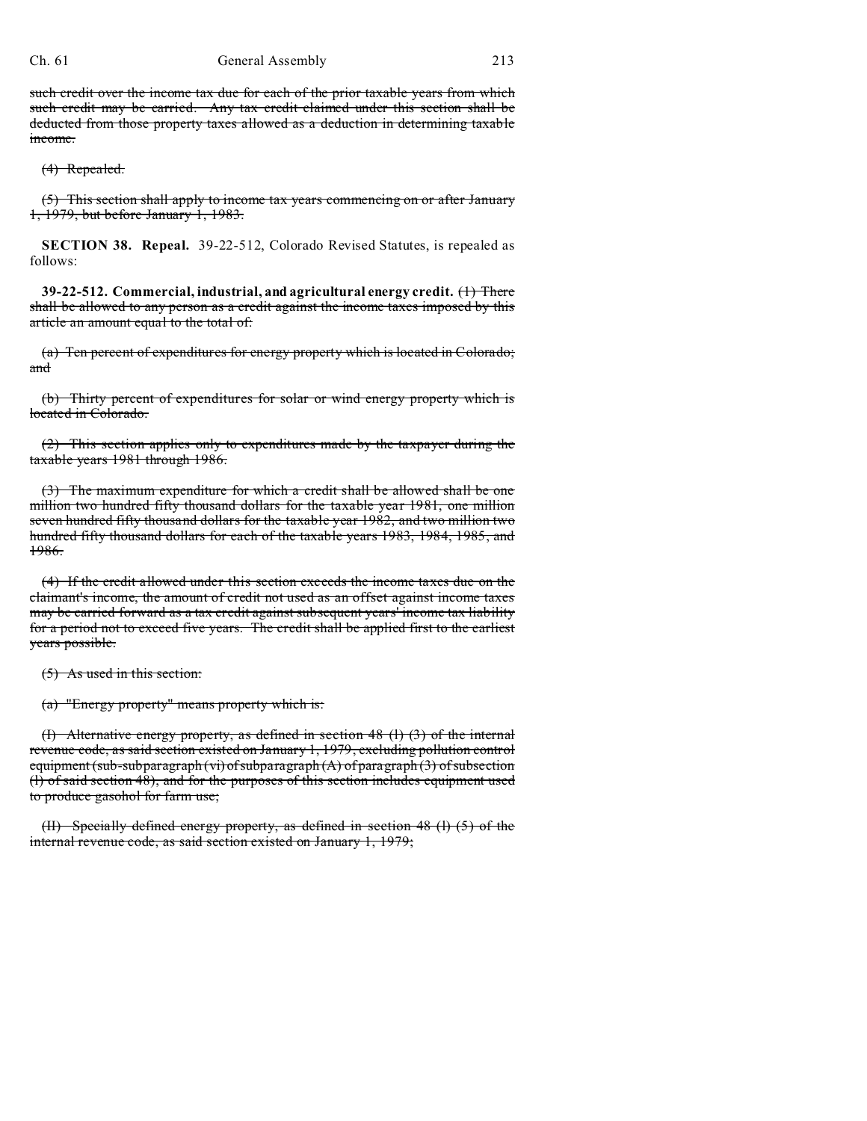### Ch. 61 General Assembly 213

such credit over the income tax due for each of the prior taxable years from which such credit may be carried. Any tax credit claimed under this section shall be deducted from those property taxes allowed as a deduction in determining taxable income.

(4) Repealed.

(5) This section shall apply to income tax years commencing on or after January 1, 1979, but before January 1, 1983.

**SECTION 38. Repeal.** 39-22-512, Colorado Revised Statutes, is repealed as follows:

**39-22-512. Commercial, industrial, and agricultural energy credit.** (1) There shall be allowed to any person as a credit against the income taxes imposed by this article an amount equal to the total of:

(a) Ten percent of expenditures for energy property which is located in Colorado; and

(b) Thirty percent of expenditures for solar or wind energy property which is located in Colorado.

(2) This section applies only to expenditures made by the taxpayer during the taxable years 1981 through 1986.

(3) The maximum expenditure for which a credit shall be allowed shall be one million two hundred fifty thousand dollars for the taxable year 1981, one million seven hundred fifty thousand dollars for the taxable year 1982, and two million two hundred fifty thousand dollars for each of the taxable years 1983, 1984, 1985, and 1986.

(4) If the credit allowed under this section exceeds the income taxes due on the claimant's income, the amount of credit not used as an offset against income taxes may be carried forward as a tax credit against subsequent years' income tax liability for a period not to exceed five years. The credit shall be applied first to the earliest years possible.

(5) As used in this section:

(a) "Energy property" means property which is:

(I) Alternative energy property, as defined in section 48 (l) (3) of the internal revenue code, as said section existed on January 1, 1979, excluding pollution control equipment (sub-subparagraph (vi) of subparagraph  $(A)$  of paragraph  $(3)$  of subsection (l) of said section 48), and for the purposes of this section includes equipment used to produce gasohol for farm use;

(II) Specially defined energy property, as defined in section 48 (l) (5) of the internal revenue code, as said section existed on January 1, 1979;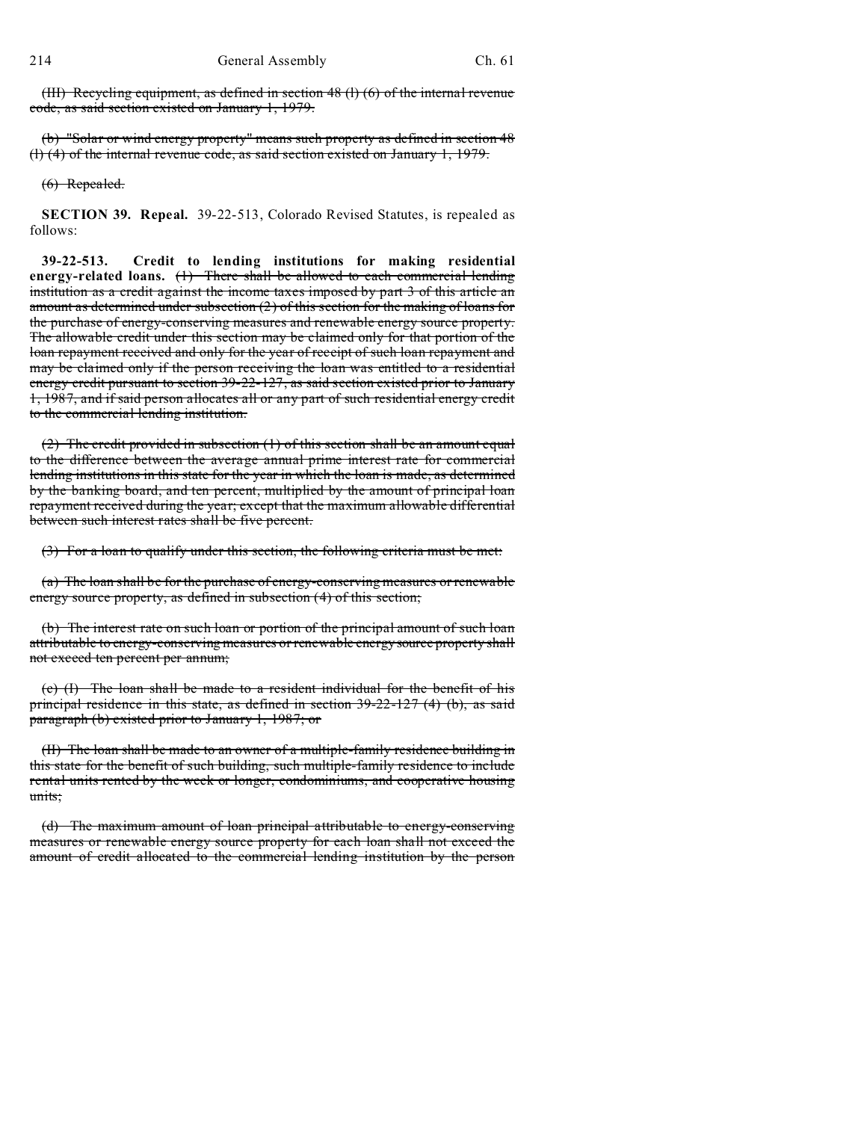(III) Recycling equipment, as defined in section 48 (l) (6) of the internal revenue code, as said section existed on January 1, 1979.

(b) "Solar or wind energy property" means such property as defined in section 48 (l) (4) of the internal revenue code, as said section existed on January 1, 1979.

(6) Repealed.

**SECTION 39. Repeal.** 39-22-513, Colorado Revised Statutes, is repealed as follows:

**39-22-513. Credit to lending institutions for making residential energy-related loans.** (1) There shall be allowed to each commercial lending institution as a credit against the income taxes imposed by part 3 of this article an amount as determined under subsection (2) of this section for the making of loans for the purchase of energy-conserving measures and renewable energy source property. The allowable credit under this section may be claimed only for that portion of the loan repayment received and only for the year of receipt of such loan repayment and may be claimed only if the person receiving the loan was entitled to a residential energy credit pursuant to section 39-22-127, as said section existed prior to January 1, 1987, and if said person allocates all or any part of such residential energy credit to the commercial lending institution.

(2) The credit provided in subsection (1) of this section shall be an amount equal to the difference between the average annual prime interest rate for commercial lending institutions in this state for the year in which the loan is made, as determined by the banking board, and ten percent, multiplied by the amount of principal loan repayment received during the year; except that the maximum allowable differential between such interest rates shall be five percent.

(3) For a loan to qualify under this section, the following criteria must be met:

(a) The loan shall be for the purchase of energy-conserving measures or renewable energy source property, as defined in subsection (4) of this section;

(b) The interest rate on such loan or portion of the principal amount of such loan attributable to energy-conserving measures or renewable energy source property shall not exceed ten percent per annum;

(c) (I) The loan shall be made to a resident individual for the benefit of his principal residence in this state, as defined in section 39-22-127 (4) (b), as said paragraph (b) existed prior to January 1, 1987; or

(II) The loan shall be made to an owner of a multiple-family residence building in this state for the benefit of such building, such multiple-family residence to include rental units rented by the week or longer, condominiums, and cooperative housing units;

(d) The maximum amount of loan principal attributable to energy-conserving measures or renewable energy source property for each loan shall not exceed the amount of credit allocated to the commercial lending institution by the person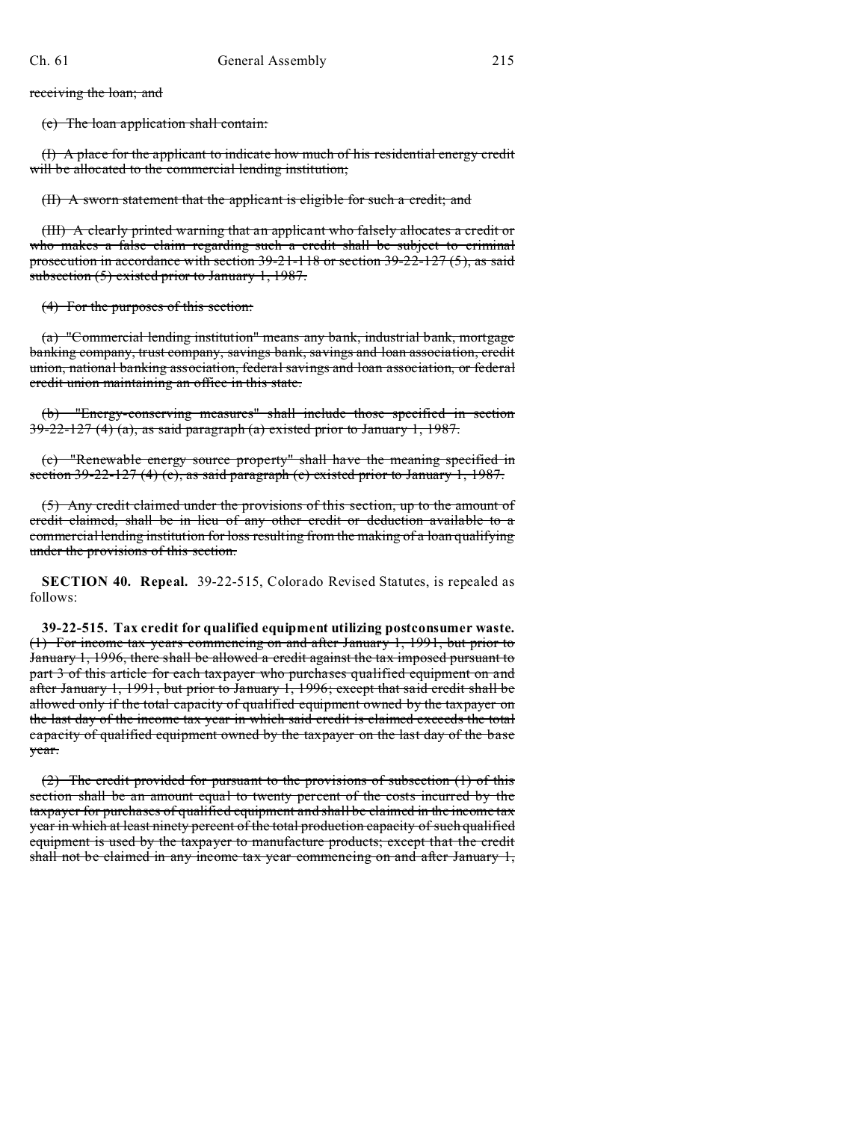receiving the loan; and

(e) The loan application shall contain:

(I) A place for the applicant to indicate how much of his residential energy credit will be allocated to the commercial lending institution;

(II) A sworn statement that the applicant is eligible for such a credit; and

(III) A clearly printed warning that an applicant who falsely allocates a credit or who makes a false claim regarding such a credit shall be subject to criminal prosecution in accordance with section 39-21-118 or section 39-22-127 (5), as said subsection (5) existed prior to January 1, 1987.

(4) For the purposes of this section:

(a) "Commercial lending institution" means any bank, industrial bank, mortgage banking company, trust company, savings bank, savings and loan association, credit union, national banking association, federal savings and loan association, or federal credit union maintaining an office in this state.

(b) "Energy-conserving measures" shall include those specified in section  $39-22-127$  (4) (a), as said paragraph (a) existed prior to January 1, 1987.

(c) "Renewable energy source property" shall have the meaning specified in section  $39-22-127$  (4) (c), as said paragraph (c) existed prior to January 1, 1987.

(5) Any credit claimed under the provisions of this section, up to the amount of credit claimed, shall be in lieu of any other credit or deduction available to a commercial lending institution for loss resulting from the making of a loan qualifying under the provisions of this section.

**SECTION 40. Repeal.** 39-22-515, Colorado Revised Statutes, is repealed as follows:

**39-22-515. Tax credit for qualified equipment utilizing postconsumer waste.** (1) For income tax years commencing on and after January 1, 1991, but prior to January 1, 1996, there shall be allowed a credit against the tax imposed pursuant to part 3 of this article for each taxpayer who purchases qualified equipment on and after January 1, 1991, but prior to January 1, 1996; except that said credit shall be allowed only if the total capacity of qualified equipment owned by the taxpayer on the last day of the income tax year in which said credit is claimed exceeds the total capacity of qualified equipment owned by the taxpayer on the last day of the base year.

(2) The credit provided for pursuant to the provisions of subsection (1) of this section shall be an amount equal to twenty percent of the costs incurred by the taxpayer for purchases of qualified equipment and shall be claimed in the income tax year in which at least ninety percent of the total production capacity of such qualified equipment is used by the taxpayer to manufacture products; except that the credit shall not be claimed in any income tax year commencing on and after January 1,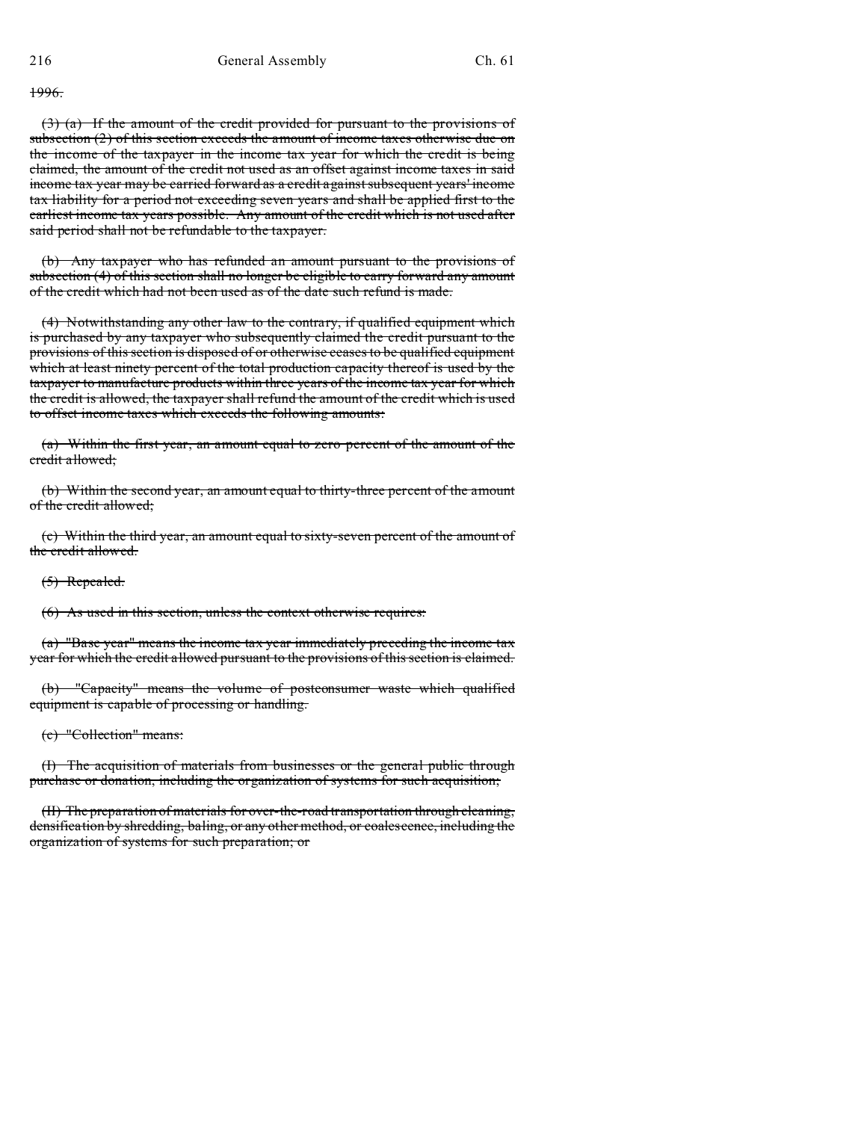#### 1996.

(3) (a) If the amount of the credit provided for pursuant to the provisions of subsection (2) of this section exceeds the amount of income taxes otherwise due on the income of the taxpayer in the income tax year for which the credit is being claimed, the amount of the credit not used as an offset against income taxes in said income tax year may be carried forward as a credit against subsequent years' income tax liability for a period not exceeding seven years and shall be applied first to the earliest income tax years possible. Any amount of the credit which is not used after said period shall not be refundable to the taxpayer.

(b) Any taxpayer who has refunded an amount pursuant to the provisions of subsection (4) of this section shall no longer be eligible to carry forward any amount of the credit which had not been used as of the date such refund is made.

(4) Notwithstanding any other law to the contrary, if qualified equipment which is purchased by any taxpayer who subsequently claimed the credit pursuant to the provisions of this section is disposed of or otherwise ceases to be qualified equipment which at least ninety percent of the total production capacity thereof is used by the taxpayer to manufacture products within three years of the income tax year for which the credit is allowed, the taxpayer shall refund the amount of the credit which is used to offset income taxes which exceeds the following amounts:

(a) Within the first year, an amount equal to zero percent of the amount of the credit allowed;

(b) Within the second year, an amount equal to thirty-three percent of the amount of the credit allowed;

(c) Within the third year, an amount equal to sixty-seven percent of the amount of the credit allowed.

(5) Repealed.

(6) As used in this section, unless the context otherwise requires:

(a) "Base year" means the income tax year immediately preceding the income tax year for which the credit allowed pursuant to the provisions of this section is claimed.

(b) "Capacity" means the volume of postconsumer waste which qualified equipment is capable of processing or handling.

(c) "Collection" means:

(I) The acquisition of materials from businesses or the general public through purchase or donation, including the organization of systems for such acquisition;

(II) The preparation of materials for over-the-road transportation through cleaning, densification by shredding, baling, or any other method, or coalescence, including the organization of systems for such preparation; or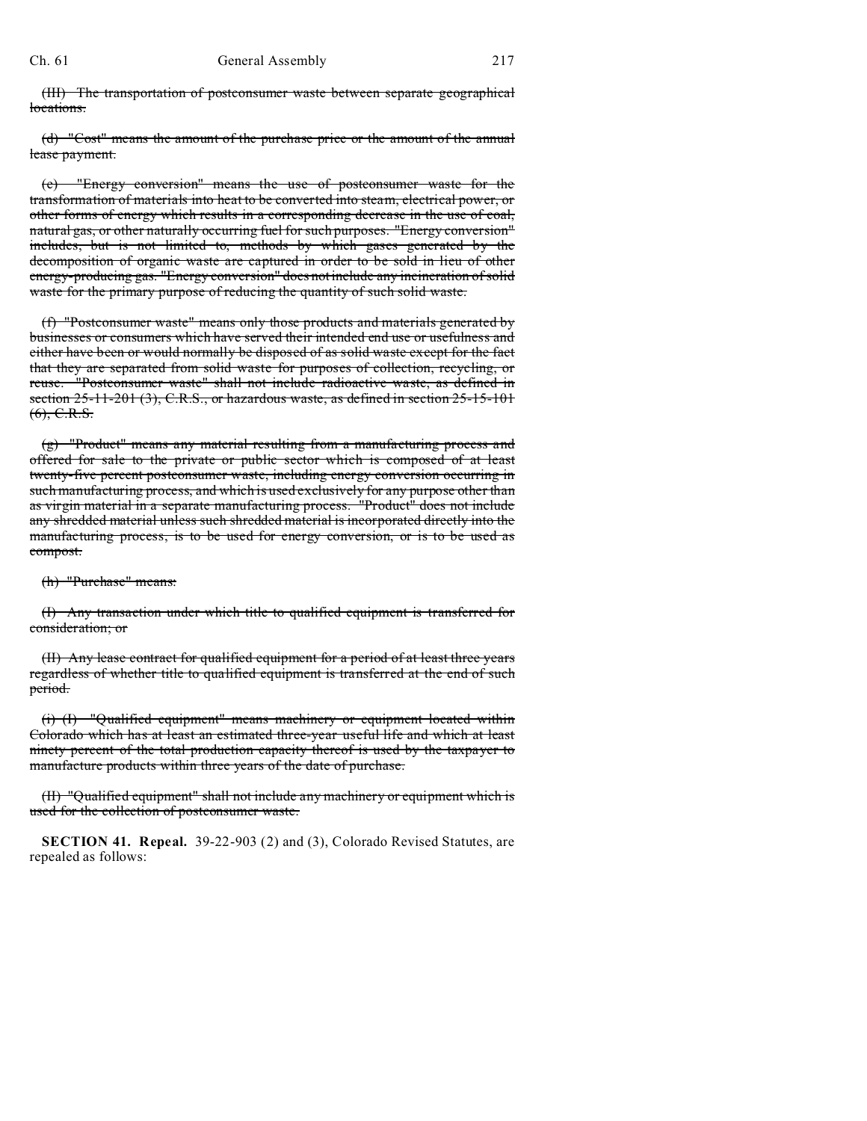(III) The transportation of postconsumer waste between separate geographical locations.

(d) "Cost" means the amount of the purchase price or the amount of the annual lease payment.

(e) "Energy conversion" means the use of postconsumer waste for the transformation of materials into heat to be converted into steam, electrical power, or other forms of energy which results in a corresponding decrease in the use of coal, natural gas, or other naturally occurring fuel for such purposes. "Energy conversion" includes, but is not limited to, methods by which gases generated by the decomposition of organic waste are captured in order to be sold in lieu of other energy-producing gas. "Energy conversion" does not include any incineration of solid waste for the primary purpose of reducing the quantity of such solid waste.

(f) "Postconsumer waste" means only those products and materials generated by businesses or consumers which have served their intended end use or usefulness and either have been or would normally be disposed of as solid waste except for the fact that they are separated from solid waste for purposes of collection, recycling, or reuse. "Postconsumer waste" shall not include radioactive waste, as defined in section  $25-11-201$  (3), C.R.S., or hazardous waste, as defined in section  $25-15-101$  $(6), C.R.S.$ 

(g) "Product" means any material resulting from a manufacturing process and offered for sale to the private or public sector which is composed of at least twenty-five percent postconsumer waste, including energy conversion occurring in such manufacturing process, and which is used exclusively for any purpose other than as virgin material in a separate manufacturing process. "Product" does not include any shredded material unless such shredded material is incorporated directly into the manufacturing process, is to be used for energy conversion, or is to be used as compost.

(h) "Purchase" means:

(I) Any transaction under which title to qualified equipment is transferred for consideration; or

(II) Any lease contract for qualified equipment for a period of at least three years regardless of whether title to qualified equipment is transferred at the end of such period.

(i) (I) "Qualified equipment" means machinery or equipment located within Colorado which has at least an estimated three-year useful life and which at least ninety percent of the total production capacity thereof is used by the taxpayer to manufacture products within three years of the date of purchase.

(II) "Qualified equipment" shall not include any machinery or equipment which is used for the collection of postconsumer waste.

**SECTION 41. Repeal.** 39-22-903 (2) and (3), Colorado Revised Statutes, are repealed as follows: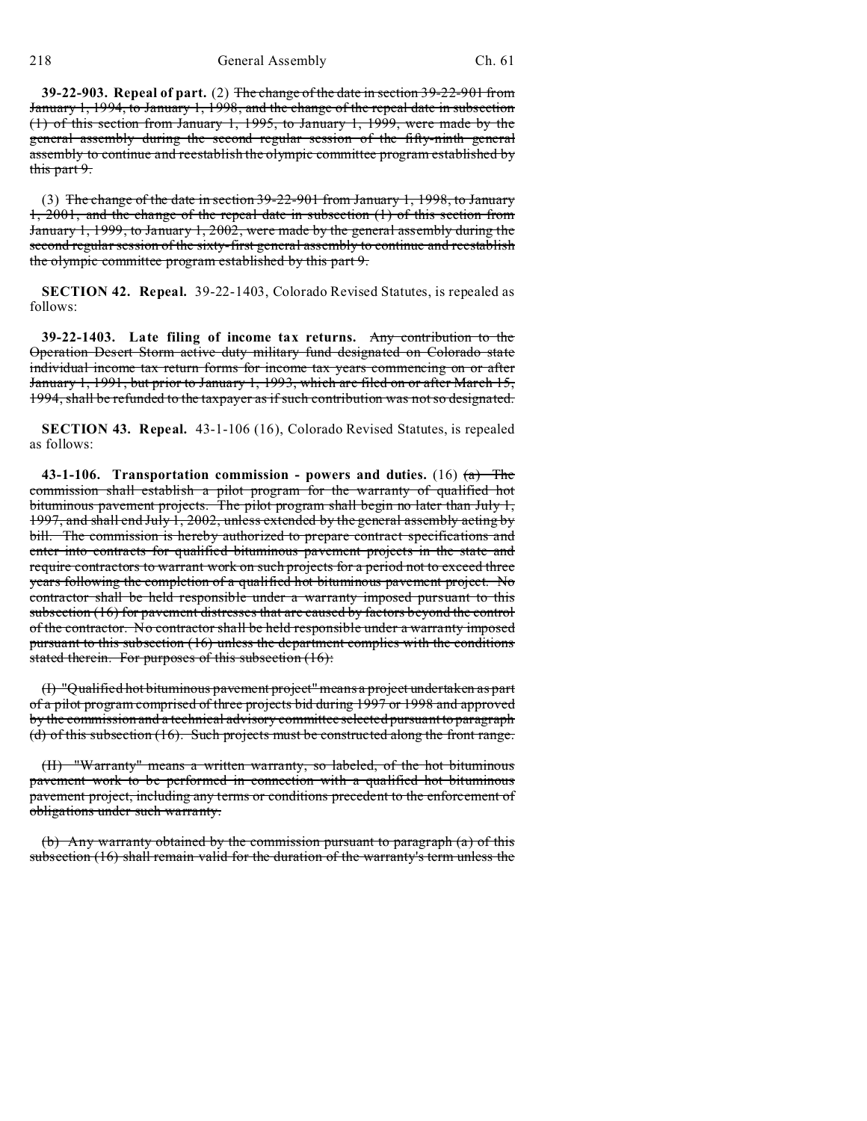218 General Assembly Ch. 61

**39-22-903. Repeal of part.** (2) The change of the date in section 39-22-901 from January 1, 1994, to January 1, 1998, and the change of the repeal date in subsection (1) of this section from January 1, 1995, to January 1, 1999, were made by the general assembly during the second regular session of the fifty-ninth general assembly to continue and reestablish the olympic committee program established by this part 9.

(3) The change of the date in section 39-22-901 from January 1, 1998, to January 1, 2001, and the change of the repeal date in subsection (1) of this section from January 1, 1999, to January 1, 2002, were made by the general assembly during the second regular session of the sixty-first general assembly to continue and reestablish the olympic committee program established by this part 9.

**SECTION 42. Repeal.** 39-22-1403, Colorado Revised Statutes, is repealed as follows:

**39-22-1403. Late filing of income tax returns.** Any contribution to the Operation Desert Storm active duty military fund designated on Colorado state individual income tax return forms for income tax years commencing on or after January 1, 1991, but prior to January 1, 1993, which are filed on or after March 15, 1994, shall be refunded to the taxpayer as if such contribution was not so designated.

**SECTION 43. Repeal.** 43-1-106 (16), Colorado Revised Statutes, is repealed as follows:

**43-1-106. Transportation commission - powers and duties.** (16) (a) The commission shall establish a pilot program for the warranty of qualified hot bituminous pavement projects. The pilot program shall begin no later than July 1, 1997, and shall end July 1, 2002, unless extended by the general assembly acting by bill. The commission is hereby authorized to prepare contract specifications and enter into contracts for qualified bituminous pavement projects in the state and require contractors to warrant work on such projects for a period not to exceed three years following the completion of a qualified hot bituminous pavement project. No contractor shall be held responsible under a warranty imposed pursuant to this subsection (16) for pavement distresses that are caused by factors beyond the control of the contractor. No contractor shall be held responsible under a warranty imposed pursuant to this subsection (16) unless the department complies with the conditions stated therein. For purposes of this subsection (16):

(I) "Qualified hot bituminous pavement project" means a project undertaken as part of a pilot program comprised of three projects bid during 1997 or 1998 and approved by the commission and a technical advisory committee selected pursuant to paragraph (d) of this subsection (16). Such projects must be constructed along the front range.

(II) "Warranty" means a written warranty, so labeled, of the hot bituminous pavement work to be performed in connection with a qualified hot bituminous pavement project, including any terms or conditions precedent to the enforcement of obligations under such warranty.

(b) Any warranty obtained by the commission pursuant to paragraph (a) of this subsection (16) shall remain valid for the duration of the warranty's term unless the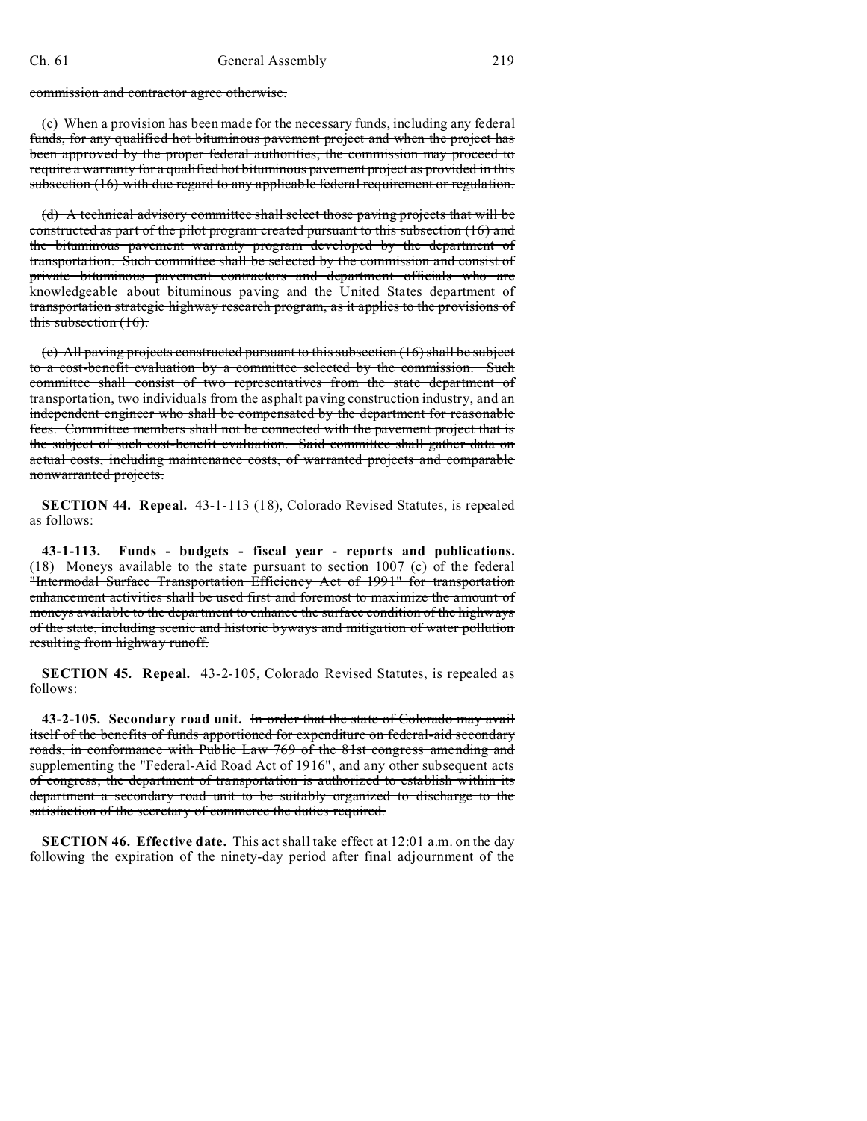commission and contractor agree otherwise.

(c) When a provision has been made for the necessary funds, including any federal funds, for any qualified hot bituminous pavement project and when the project has been approved by the proper federal authorities, the commission may proceed to require a warranty for a qualified hot bituminous pavement project as provided in this subsection (16) with due regard to any applicable federal requirement or regulation.

(d) A technical advisory committee shall select those paving projects that will be constructed as part of the pilot program created pursuant to this subsection (16) and the bituminous pavement warranty program developed by the department of transportation. Such committee shall be selected by the commission and consist of private bituminous pavement contractors and department officials who are knowledgeable about bituminous paving and the United States department of transportation strategic highway research program, as it applies to the provisions of this subsection (16).

(e) All paving projects constructed pursuant to this subsection (16) shall be subject to a cost-benefit evaluation by a committee selected by the commission. Such committee shall consist of two representatives from the state department of transportation, two individuals from the asphalt paving construction industry, and an independent engineer who shall be compensated by the department for reasonable fees. Committee members shall not be connected with the pavement project that is the subject of such cost-benefit evaluation. Said committee shall gather data on actual costs, including maintenance costs, of warranted projects and comparable nonwarranted projects.

**SECTION 44. Repeal.** 43-1-113 (18), Colorado Revised Statutes, is repealed as follows:

**43-1-113. Funds - budgets - fiscal year - reports and publications.** (18) Moneys available to the state pursuant to section 1007 (c) of the federal "Intermodal Surface Transportation Efficiency Act of 1991" for transportation enhancement activities shall be used first and foremost to maximize the amount of moneys available to the department to enhance the surface condition of the highways of the state, including scenic and historic byways and mitigation of water pollution resulting from highway runoff.

**SECTION 45. Repeal.** 43-2-105, Colorado Revised Statutes, is repealed as follows:

**43-2-105. Secondary road unit.** In order that the state of Colorado may avail itself of the benefits of funds apportioned for expenditure on federal-aid secondary roads, in conformance with Public Law 769 of the 81st congress amending and supplementing the "Federal-Aid Road Act of 1916", and any other subsequent acts of congress, the department of transportation is authorized to establish within its department a secondary road unit to be suitably organized to discharge to the satisfaction of the secretary of commerce the duties required.

**SECTION 46. Effective date.** This act shall take effect at 12:01 a.m. on the day following the expiration of the ninety-day period after final adjournment of the